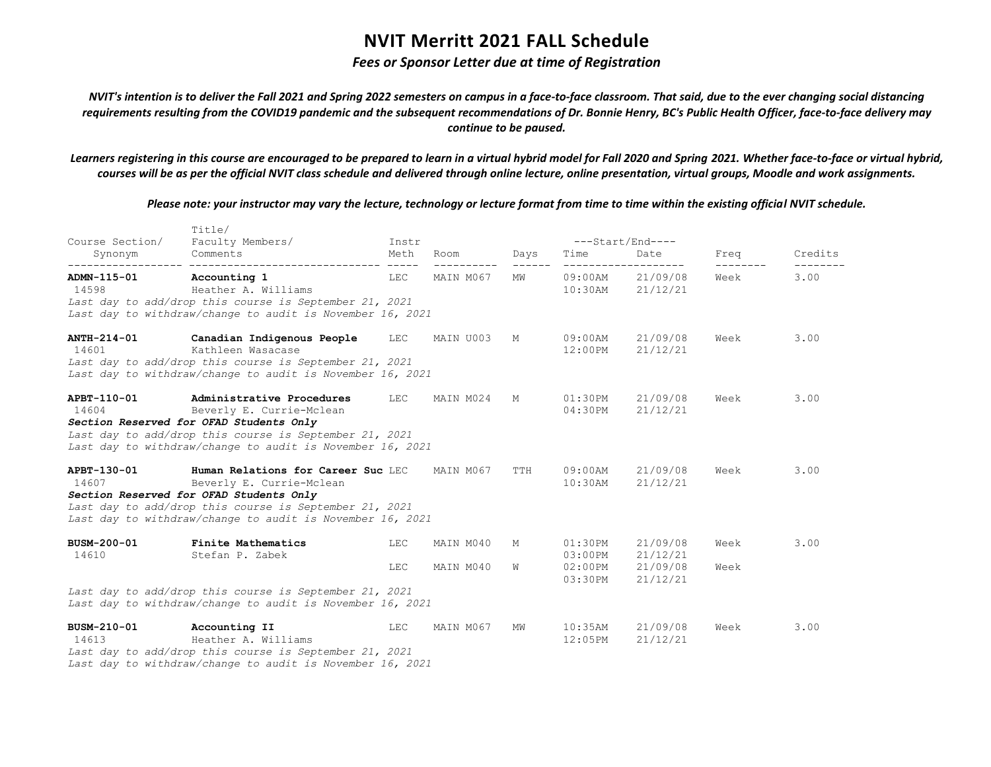## *Fees or Sponsor Letter due at time of Registration*

*NVIT's intention is to deliver the Fall 2021 and Spring 2022 semesters on campus in a face-to-face classroom. That said, due to the ever changing social distancing requirements resulting from the COVID19 pandemic and the subsequent recommendations of Dr. Bonnie Henry, BC's Public Health Officer, face-to-face delivery may continue to be paused.*

*Learners registering in this course are encouraged to be prepared to learn in a virtual hybrid model for Fall 2020 and Spring 2021. Whether face-to-face or virtual hybrid, courses will be as per the official NVIT class schedule and delivered through online lecture, online presentation, virtual groups, Moodle and work assignments.*

|                            | Title/                                                                                                                                                                                                                           |                      |                        |        |                                                |                                              |              |         |
|----------------------------|----------------------------------------------------------------------------------------------------------------------------------------------------------------------------------------------------------------------------------|----------------------|------------------------|--------|------------------------------------------------|----------------------------------------------|--------------|---------|
| Course Section/<br>Synonym | Faculty Members/<br>Comments                                                                                                                                                                                                     | Instr<br>Meth        | Room                   | Days   | Time                                           | ---Start/End----<br>Date                     | Freq         | Credits |
| ADMN-115-01<br>14598       | ----------<br>Accounting 1<br>Heather A. Williams<br>Last day to add/drop this course is September 21, 2021<br>Last day to withdraw/change to audit is November 16, 2021                                                         | $\frac{1}{2}$<br>LEC | MAIN M067              | МW     | $09:00$ AM<br>$10:30$ AM                       | 21/09/08<br>21/12/21                         | Week         | 3.00    |
| ANTH-214-01<br>14601       | Canadian Indigenous People<br>Kathleen Wasacase<br>Last day to add/drop this course is September 21, 2021<br>Last day to withdraw/change to audit is November 16, 2021                                                           | LEC                  | MAIN U003              | М      | $09:00$ AM<br>12:00PM                          | 21/09/08<br>21/12/21                         | Week         | 3.00    |
| APBT-110-01<br>14604       | Administrative Procedures<br>Beverly E. Currie-Mclean<br>Section Reserved for OFAD Students Only<br>Last day to add/drop this course is September 21, 2021<br>Last day to withdraw/change to audit is November 16, 2021          | LEC                  | MAIN M024              | М      | $01:30$ PM<br>04:30PM                          | 21/09/08<br>21/12/21                         | Week         | 3.00    |
| APBT-130-01<br>14607       | Human Relations for Career Suc LEC<br>Beverly E. Currie-Mclean<br>Section Reserved for OFAD Students Only<br>Last day to add/drop this course is September 21, 2021<br>Last day to withdraw/change to audit is November 16, 2021 |                      | MAIN M067              | TTH    | 09:00AM<br>$10:30$ AM                          | 21/09/08<br>21/12/21                         | Week         | 3.00    |
| BUSM-200-01<br>14610       | Finite Mathematics<br>Stefan P. Zabek<br>Last day to add/drop this course is September 21, 2021                                                                                                                                  | LEC<br>LEC           | MAIN M040<br>MAIN M040 | М<br>W | $01:30$ PM<br>$03:00$ PM<br>02:00PM<br>03:30PM | 21/09/08<br>21/12/21<br>21/09/08<br>21/12/21 | Week<br>Week | 3.00    |
|                            | Last day to withdraw/change to audit is November 16, 2021                                                                                                                                                                        |                      |                        |        |                                                |                                              |              |         |
| BUSM-210-01<br>14613       | Accounting II<br>Heather A. Williams<br>Last day to add/drop this course is September 21, 2021<br>Last day to withdraw/change to audit is November 16, 2021                                                                      | LEC                  | MAIN M067              | ΜW     | $10:35$ AM<br>12:05PM                          | 21/09/08<br>21/12/21                         | Week         | 3.00    |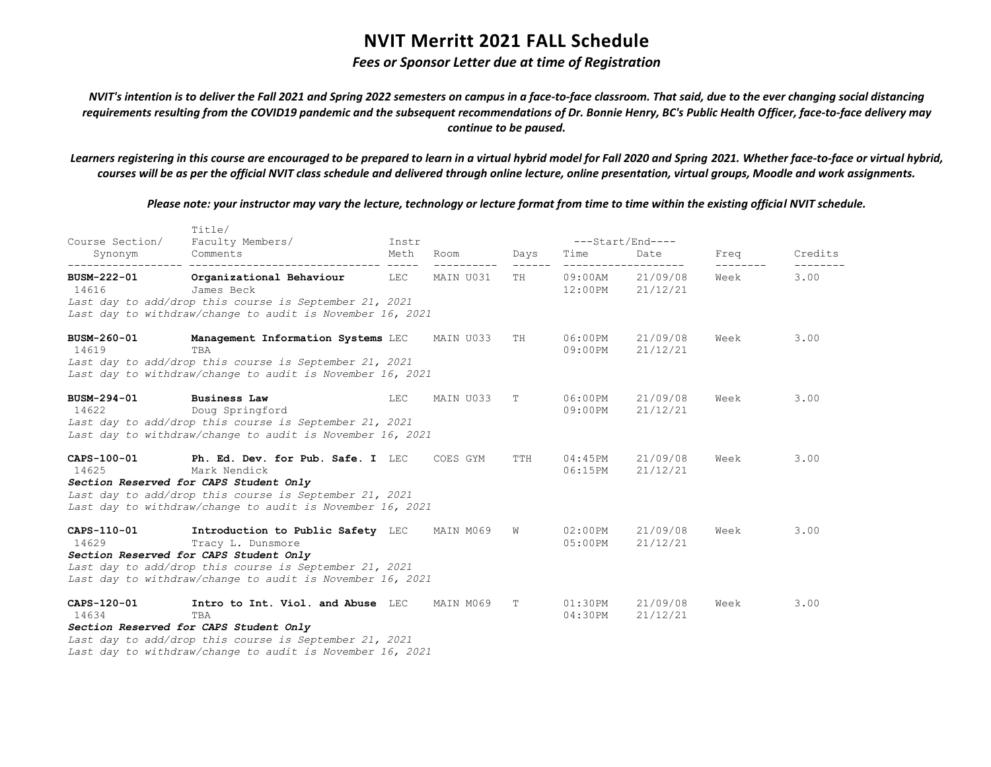## *Fees or Sponsor Letter due at time of Registration*

*NVIT's intention is to deliver the Fall 2021 and Spring 2022 semesters on campus in a face-to-face classroom. That said, due to the ever changing social distancing requirements resulting from the COVID19 pandemic and the subsequent recommendations of Dr. Bonnie Henry, BC's Public Health Officer, face-to-face delivery may continue to be paused.*

*Learners registering in this course are encouraged to be prepared to learn in a virtual hybrid model for Fall 2020 and Spring 2021. Whether face-to-face or virtual hybrid, courses will be as per the official NVIT class schedule and delivered through online lecture, online presentation, virtual groups, Moodle and work assignments.*

|                      | Title/                                                                                                                                                                                                                  |       |           |      |                       |                      |      |         |
|----------------------|-------------------------------------------------------------------------------------------------------------------------------------------------------------------------------------------------------------------------|-------|-----------|------|-----------------------|----------------------|------|---------|
| Course Section/      | Faculty Members/                                                                                                                                                                                                        | Instr |           |      |                       | ---Start/End----     |      |         |
| Synonym              | Comments                                                                                                                                                                                                                | Meth  | Room      | Days | Time                  | Date                 | Freq | Credits |
| BUSM-222-01<br>14616 | Organizational Behaviour<br>James Beck                                                                                                                                                                                  | LEC   | MAIN U031 | TН   | 09:00AM<br>12:00PM    | 21/09/08<br>21/12/21 | Week | 3.00    |
|                      | Last day to add/drop this course is September 21, 2021<br>Last day to withdraw/change to audit is November 16, 2021                                                                                                     |       |           |      |                       |                      |      |         |
| BUSM-260-01<br>14619 | Management Information Systems LEC<br>TBA<br>Last day to add/drop this course is September 21, 2021<br>Last day to withdraw/change to audit is November 16, 2021                                                        |       | MAIN U033 | TH   | 06:00PM<br>09:00PM    | 21/09/08<br>21/12/21 | Week | 3.00    |
| BUSM-294-01<br>14622 | <b>Business Law</b><br>Doug Springford<br>Last day to add/drop this course is September 21, 2021<br>Last day to withdraw/change to audit is November 16, 2021                                                           | LEC   | MAIN U033 | T    | 06:00PM<br>$09:00$ PM | 21/09/08<br>21/12/21 | Week | 3.00    |
| CAPS-100-01<br>14625 | Ph. Ed. Dev. for Pub. Safe. I LEC<br>Mark Nendick<br>Section Reserved for CAPS Student Only<br>Last day to add/drop this course is September 21, 2021<br>Last day to withdraw/change to audit is November 16, 2021      |       | COES GYM  | TTH  | 04:45PM<br>06:15PM    | 21/09/08<br>21/12/21 | Week | 3.00    |
| CAPS-110-01<br>14629 | Introduction to Public Safety LEC<br>Tracy L. Dunsmore<br>Section Reserved for CAPS Student Only<br>Last day to add/drop this course is September 21, 2021<br>Last day to withdraw/change to audit is November 16, 2021 |       | MAIN M069 | W    | $02:00$ PM<br>05:00PM | 21/09/08<br>21/12/21 | Week | 3.00    |
| CAPS-120-01<br>14634 | Intro to Int. Viol. and Abuse LEC<br>TBA<br>Section Reserved for CAPS Student Only<br>Last day to add/drop this course is September 21, 2021<br>Last day to withdraw/change to audit is November 16, 2021               |       | MAIN M069 | T    | 01:30PM<br>04:30PM    | 21/09/08<br>21/12/21 | Week | 3.00    |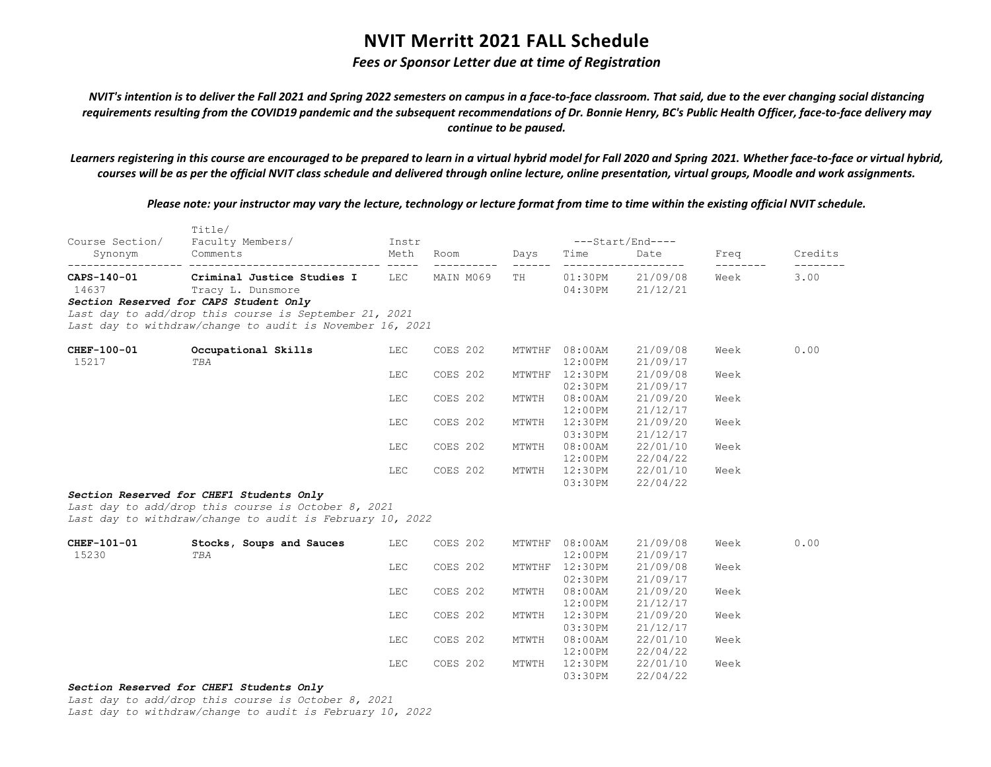## *Fees or Sponsor Letter due at time of Registration*

*NVIT's intention is to deliver the Fall 2021 and Spring 2022 semesters on campus in a face-to-face classroom. That said, due to the ever changing social distancing requirements resulting from the COVID19 pandemic and the subsequent recommendations of Dr. Bonnie Henry, BC's Public Health Officer, face-to-face delivery may continue to be paused.*

*Learners registering in this course are encouraged to be prepared to learn in a virtual hybrid model for Fall 2020 and Spring 2021. Whether face-to-face or virtual hybrid, courses will be as per the official NVIT class schedule and delivered through online lecture, online presentation, virtual groups, Moodle and work assignments.*

*Please note: your instructor may vary the lecture, technology or lecture format from time to time within the existing official NVIT schedule.*

| Course Section/                                         | Title/<br>Faculty Members/                                                                                                                                                                                           | Instr |           |                     | ---Start/End----             |                      |      |         |
|---------------------------------------------------------|----------------------------------------------------------------------------------------------------------------------------------------------------------------------------------------------------------------------|-------|-----------|---------------------|------------------------------|----------------------|------|---------|
| Synonym                                                 | Comments                                                                                                                                                                                                             | Meth  | Room      | Days                | Time                         | Date                 | Freq | Credits |
| ------------------- -----------<br>CAPS-140-01<br>14637 | Criminal Justice Studies I LEC<br>Tracy L. Dunsmore<br>Section Reserved for CAPS Student Only<br>Last day to add/drop this course is September 21, 2021<br>Last day to withdraw/change to audit is November 16, 2021 |       | MAIN M069 | ------ ------<br>TH | $01:30$ PM<br>$04:30$ PM     | 21/09/08<br>21/12/21 | Week | 3.00    |
| CHEF-100-01<br>15217                                    | Occupational Skills<br>TBA                                                                                                                                                                                           | LEC   | COES 202  |                     | MTWTHF 08:00AM<br>12:00PM    | 21/09/08<br>21/09/17 | Week | 0.00    |
|                                                         |                                                                                                                                                                                                                      | LEC   | COES 202  |                     | MTWTHF 12:30PM<br>$02:30$ PM | 21/09/08<br>21/09/17 | Week |         |
|                                                         |                                                                                                                                                                                                                      | LEC   | COES 202  | MTWTH               | $08:00$ AM<br>12:00PM        | 21/09/20<br>21/12/17 | Week |         |
|                                                         |                                                                                                                                                                                                                      | LEC   | COES 202  | MTWTH               | 12:30PM<br>03:30PM           | 21/09/20<br>21/12/17 | Week |         |
|                                                         |                                                                                                                                                                                                                      | LEC   | COES 202  | MTWTH               | $08:00$ AM<br>$12:00$ PM     | 22/01/10<br>22/04/22 | Week |         |
|                                                         |                                                                                                                                                                                                                      | LEC   | COES 202  | MTWTH               | 12:30PM<br>03:30PM           | 22/01/10<br>22/04/22 | Week |         |
|                                                         | Section Reserved for CHEF1 Students Only<br>Last day to add/drop this course is October 8, 2021<br>Last day to withdraw/change to audit is February 10, 2022                                                         |       |           |                     |                              |                      |      |         |
| CHEF-101-01<br>15230                                    | Stocks, Soups and Sauces<br>TBA                                                                                                                                                                                      | LEC   | COES 202  |                     | MTWTHF 08:00AM<br>12:00PM    | 21/09/08<br>21/09/17 | Week | 0.00    |
|                                                         |                                                                                                                                                                                                                      | LEC   | COES 202  |                     | MTWTHF 12:30PM<br>02:30PM    | 21/09/08<br>21/09/17 | Week |         |
|                                                         |                                                                                                                                                                                                                      | LEC   | COES 202  | MTWTH               | $08:00$ AM<br>12:00PM        | 21/09/20<br>21/12/17 | Week |         |
|                                                         |                                                                                                                                                                                                                      | LEC   | COES 202  | MTWTH               | 12:30PM<br>03:30PM           | 21/09/20<br>21/12/17 | Week |         |
|                                                         |                                                                                                                                                                                                                      | LEC   | COES 202  | MTWTH               | $08:00$ AM<br>$12:00$ PM     | 22/01/10<br>22/04/22 | Week |         |
|                                                         | Costion Bosonical for CUEE1 Ctudents Only                                                                                                                                                                            | LEC   | COES 202  | MTWTH               | 12:30PM<br>03:30PM           | 22/01/10<br>22/04/22 | Week |         |

#### *Section Reserved for CHEF1 Students Only*

*Last day to add/drop this course is October 8, 2021*

*Last day to withdraw/change to audit is February 10, 2022*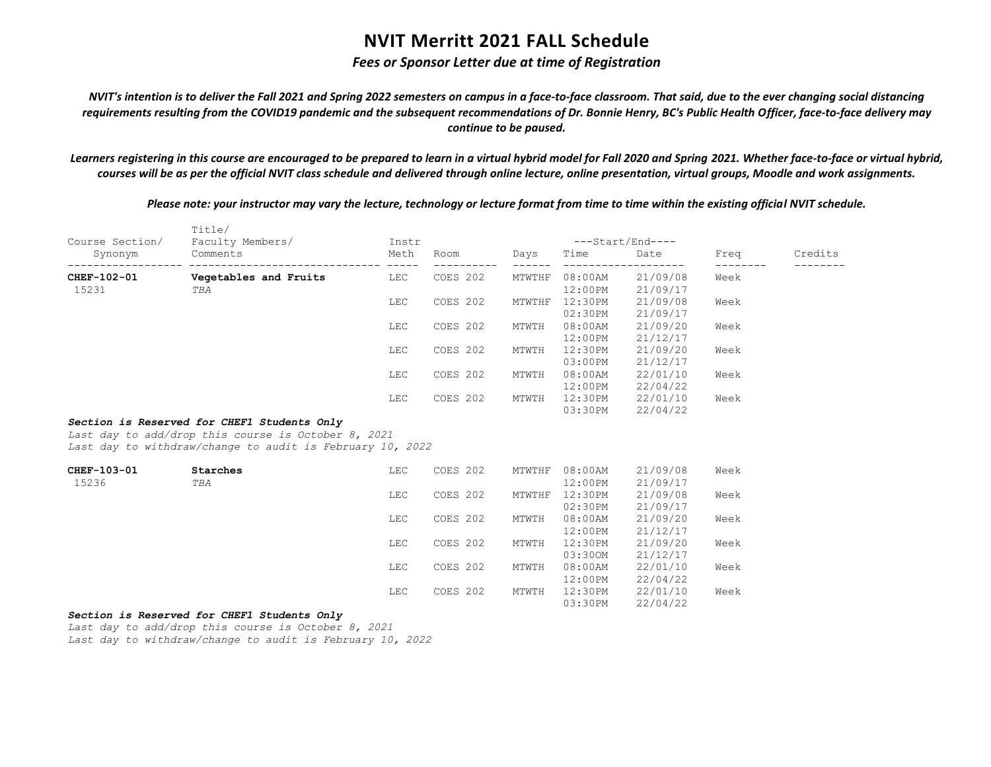## *Fees or Sponsor Letter due at time of Registration*

*NVIT's intention is to deliver the Fall 2021 and Spring 2022 semesters on campus in a face-to-face classroom. That said, due to the ever changing social distancing requirements resulting from the COVID19 pandemic and the subsequent recommendations of Dr. Bonnie Henry, BC's Public Health Officer, face-to-face delivery may continue to be paused.*

*Learners registering in this course are encouraged to be prepared to learn in a virtual hybrid model for Fall 2020 and Spring 2021. Whether face-to-face or virtual hybrid, courses will be as per the official NVIT class schedule and delivered through online lecture, online presentation, virtual groups, Moodle and work assignments.*

*Please note: your instructor may vary the lecture, technology or lecture format from time to time within the existing official NVIT schedule.*

| Course Section/ | Title/<br>Faculty Members/                                                                                                                                      | Instr                |          |        |            | ---Start/End---- |      |         |
|-----------------|-----------------------------------------------------------------------------------------------------------------------------------------------------------------|----------------------|----------|--------|------------|------------------|------|---------|
| Synonym         | Comments                                                                                                                                                        | Meth                 | Room     | Days   | Time       | Date             | Freq | Credits |
| CHEF-102-01     | Vegetables and Fruits                                                                                                                                           | $- - - - - -$<br>LEC | COES 202 | MTWTHF | $08:00$ AM | 21/09/08         | Week |         |
| 15231           | TBA                                                                                                                                                             |                      |          |        | 12:00PM    | 21/09/17         |      |         |
|                 |                                                                                                                                                                 | LEC                  | COES 202 | MTWTHF | 12:30PM    | 21/09/08         | Week |         |
|                 |                                                                                                                                                                 |                      |          |        | 02:30PM    | 21/09/17         |      |         |
|                 |                                                                                                                                                                 | LEC                  | COES 202 | MTWTH  | $08:00$ AM | 21/09/20         | Week |         |
|                 |                                                                                                                                                                 |                      |          |        | 12:00PM    | 21/12/17         |      |         |
|                 |                                                                                                                                                                 | LEC                  | COES 202 | MTWTH  | 12:30PM    | 21/09/20         | Week |         |
|                 |                                                                                                                                                                 |                      |          |        | 03:00PM    | 21/12/17         |      |         |
|                 |                                                                                                                                                                 | LEC                  | COES 202 | MTWTH  | $08:00$ AM | 22/01/10         | Week |         |
|                 |                                                                                                                                                                 |                      |          |        | $12:00$ PM | 22/04/22         |      |         |
|                 |                                                                                                                                                                 | LEC                  | COES 202 | MTWTH  | 12:30PM    | 22/01/10         | Week |         |
|                 |                                                                                                                                                                 |                      |          |        | 03:30PM    | 22/04/22         |      |         |
|                 | Section is Reserved for CHEF1 Students Only<br>Last day to add/drop this course is October 8, 2021<br>Last day to withdraw/change to audit is February 10, 2022 |                      |          |        |            |                  |      |         |
| CHEF-103-01     | Starches                                                                                                                                                        | LEC                  | COES 202 | MTWTHF | $08:00$ AM | 21/09/08         | Week |         |
| 15236           | TBA                                                                                                                                                             |                      |          |        | $12:00$ PM | 21/09/17         |      |         |
|                 |                                                                                                                                                                 | LEC                  | COES 202 | MTWTHF | 12:30PM    | 21/09/08         | Week |         |
|                 |                                                                                                                                                                 |                      |          |        | 02:30PM    | 21/09/17         |      |         |
|                 |                                                                                                                                                                 | LEC                  | COES 202 | MTWTH  | $08:00$ AM | 21/09/20         | Week |         |
|                 |                                                                                                                                                                 |                      |          |        | 12:00PM    | 21/12/17         |      |         |
|                 |                                                                                                                                                                 | LEC                  | COES 202 | MTWTH  | 12:30PM    | 21/09/20         | Week |         |
|                 |                                                                                                                                                                 |                      |          |        | 03:300M    | 21/12/17         |      |         |
|                 |                                                                                                                                                                 | LEC                  | COES 202 | MTWTH  | $08:00$ AM | 22/01/10         | Week |         |
|                 |                                                                                                                                                                 |                      |          |        | 12:00PM    | 22/04/22         |      |         |
|                 |                                                                                                                                                                 | LEC                  | COES 202 | MTWTH  | 12:30PM    | 22/01/10         | Week |         |
|                 |                                                                                                                                                                 |                      |          |        | 03:30PM    | 22/04/22         |      |         |

### *Section is Reserved for CHEF1 Students Only*

*Last day to add/drop this course is October 8, 2021 Last day to withdraw/change to audit is February 10, 2022*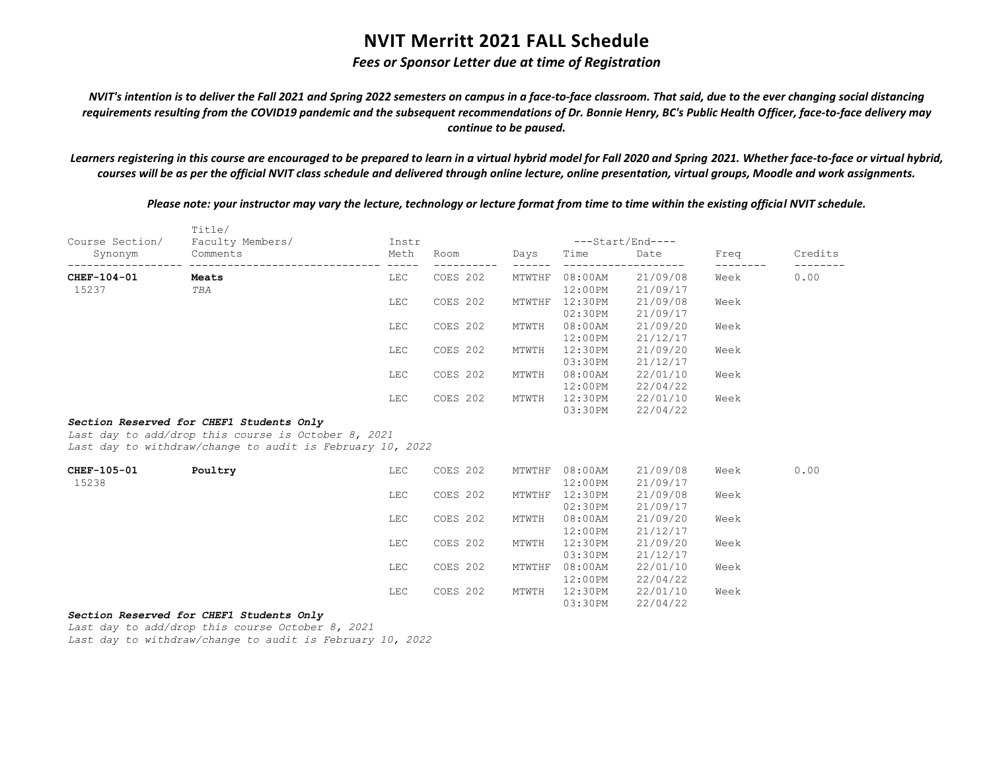## *Fees or Sponsor Letter due at time of Registration*

*NVIT's intention is to deliver the Fall 2021 and Spring 2022 semesters on campus in a face-to-face classroom. That said, due to the ever changing social distancing requirements resulting from the COVID19 pandemic and the subsequent recommendations of Dr. Bonnie Henry, BC's Public Health Officer, face-to-face delivery may continue to be paused.*

*Learners registering in this course are encouraged to be prepared to learn in a virtual hybrid model for Fall 2020 and Spring 2021. Whether face-to-face or virtual hybrid, courses will be as per the official NVIT class schedule and delivered through online lecture, online presentation, virtual groups, Moodle and work assignments.*

*Please note: your instructor may vary the lecture, technology or lecture format from time to time within the existing official NVIT schedule.*

|                            | Title/                                                                                                                                                       |               | ---Start/End----       |        |            |          |                           |         |  |
|----------------------------|--------------------------------------------------------------------------------------------------------------------------------------------------------------|---------------|------------------------|--------|------------|----------|---------------------------|---------|--|
| Course Section/<br>Synonym | Faculty Members/<br>Comments                                                                                                                                 | Instr<br>Meth | Room                   | Days   | Time       | Date     | Freq                      | Credits |  |
| CHEF-104-01                | ---------------------<br>Meats                                                                                                                               | <b>LEC</b>    | ----------<br>COES 202 | MTWTHF | $08:00$ AM | 21/09/08 | $- - - - - - - -$<br>Week | 0.00    |  |
| 15237                      | TBA                                                                                                                                                          |               |                        |        | $12:00$ PM | 21/09/17 |                           |         |  |
|                            |                                                                                                                                                              | LEC           | COES 202               | MTWTHF | $12:30$ PM | 21/09/08 | Week                      |         |  |
|                            |                                                                                                                                                              |               |                        |        | $02:30$ PM | 21/09/17 |                           |         |  |
|                            |                                                                                                                                                              | LEC           | COES 202               | MTWTH  | $08:00$ AM | 21/09/20 | Week                      |         |  |
|                            |                                                                                                                                                              |               |                        |        | 12:00PM    | 21/12/17 |                           |         |  |
|                            |                                                                                                                                                              | LEC           | COES 202               | MTWTH  | 12:30PM    | 21/09/20 | Week                      |         |  |
|                            |                                                                                                                                                              |               |                        |        | 03:30PM    | 21/12/17 |                           |         |  |
|                            |                                                                                                                                                              | LEC           | COES 202               | MTWTH  | $08:00$ AM | 22/01/10 | Week                      |         |  |
|                            |                                                                                                                                                              |               |                        |        | $12:00$ PM | 22/04/22 |                           |         |  |
|                            |                                                                                                                                                              | LEC           | COES 202               | MTWTH  | 12:30PM    | 22/01/10 | Week                      |         |  |
|                            |                                                                                                                                                              |               |                        |        | 03:30PM    | 22/04/22 |                           |         |  |
|                            | Section Reserved for CHEF1 Students Only<br>Last day to add/drop this course is October 8, 2021<br>Last day to withdraw/change to audit is February 10, 2022 |               |                        |        |            |          |                           |         |  |
| CHEF-105-01                | Poultry                                                                                                                                                      | LEC           | COES 202               | MTWTHF | $08:00$ AM | 21/09/08 | Week                      | 0.00    |  |
| 15238                      |                                                                                                                                                              |               |                        |        | $12:00$ PM | 21/09/17 |                           |         |  |
|                            |                                                                                                                                                              | LEC           | COES 202               | MTWTHF | 12:30PM    | 21/09/08 | Week                      |         |  |
|                            |                                                                                                                                                              |               |                        |        | 02:30PM    | 21/09/17 |                           |         |  |
|                            |                                                                                                                                                              | LEC           | COES 202               | MTWTH  | $08:00$ AM | 21/09/20 | Week                      |         |  |
|                            |                                                                                                                                                              |               |                        |        | 12:00PM    | 21/12/17 |                           |         |  |
|                            |                                                                                                                                                              | LEC           | COES 202               | MTWTH  | 12:30PM    | 21/09/20 | Week                      |         |  |
|                            |                                                                                                                                                              |               |                        |        | 03:30PM    | 21/12/17 |                           |         |  |
|                            |                                                                                                                                                              | LEC           | COES 202               | MTWTHF | $08:00$ AM | 22/01/10 | Week                      |         |  |
|                            |                                                                                                                                                              |               |                        |        | 12:00PM    | 22/04/22 |                           |         |  |
|                            |                                                                                                                                                              | LEC           | COES 202               | MTWTH  | 12:30PM    | 22/01/10 | Week                      |         |  |
|                            |                                                                                                                                                              |               |                        |        | 03:30PM    | 22/04/22 |                           |         |  |

### *Section Reserved for CHEF1 Students Only*

*Last day to add/drop this course October 8, 2021 Last day to withdraw/change to audit is February 10, 2022*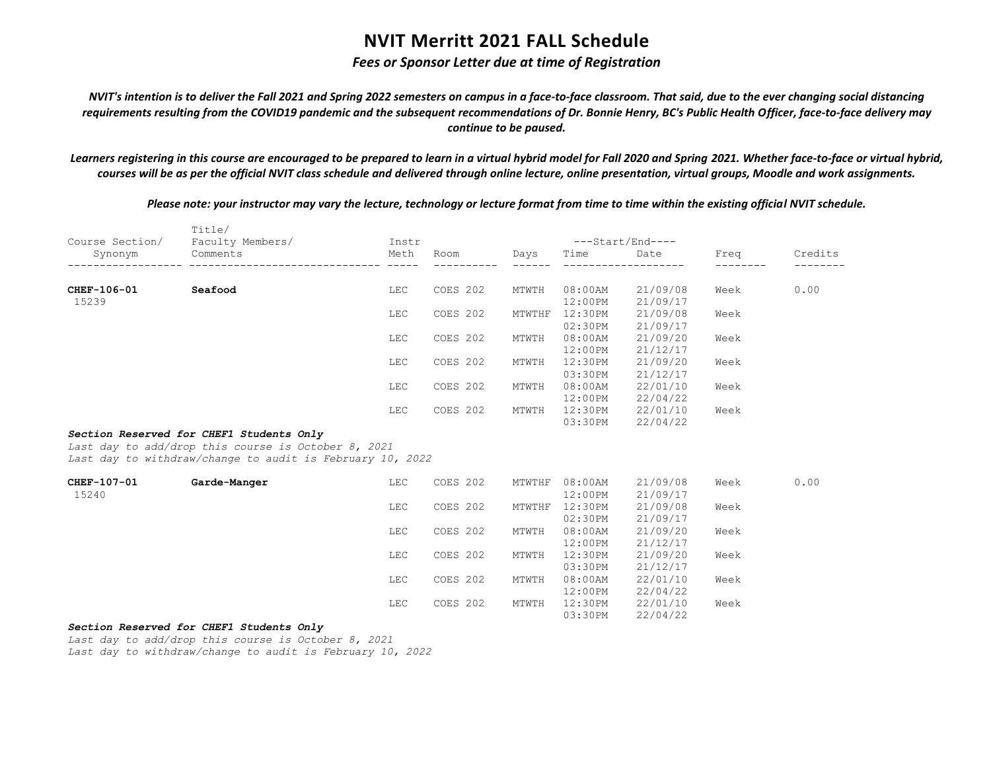## *Fees or Sponsor Letter due at time of Registration*

*NVIT's intention is to deliver the Fall 2021 and Spring 2022 semesters on campus in a face-to-face classroom. That said, due to the ever changing social distancing requirements resulting from the COVID19 pandemic and the subsequent recommendations of Dr. Bonnie Henry, BC's Public Health Officer, face-to-face delivery may continue to be paused.*

*Learners registering in this course are encouraged to be prepared to learn in a virtual hybrid model for Fall 2020 and Spring 2021. Whether face-to-face or virtual hybrid, courses will be as per the official NVIT class schedule and delivered through online lecture, online presentation, virtual groups, Moodle and work assignments.*

*Please note: your instructor may vary the lecture, technology or lecture format from time to time within the existing official NVIT schedule.*

|                 | Title/                                                    |       |          |        |                  |          |      |         |
|-----------------|-----------------------------------------------------------|-------|----------|--------|------------------|----------|------|---------|
| Course Section/ | Faculty Members/                                          | Instr |          |        | ---Start/End---- |          |      |         |
| Synonym         | Comments                                                  | Meth  | Room     | Days   | Time             | Date     | Freq | Credits |
|                 |                                                           |       |          |        |                  |          |      |         |
| CHEF-106-01     | Seafood                                                   | LEC   | COES 202 | MTWTH  | $08:00$ AM       | 21/09/08 | Week | 0.00    |
| 15239           |                                                           |       |          |        | $12:00$ PM       | 21/09/17 |      |         |
|                 |                                                           | LEC   | COES 202 | MTWTHF | 12:30PM          | 21/09/08 | Week |         |
|                 |                                                           |       |          |        | 02:30PM          | 21/09/17 |      |         |
|                 |                                                           | LEC   | COES 202 | MTWTH  | $08:00$ AM       | 21/09/20 | Week |         |
|                 |                                                           |       |          |        | 12:00PM          | 21/12/17 |      |         |
|                 |                                                           | LEC   | COES 202 | MTWTH  | 12:30PM          | 21/09/20 | Week |         |
|                 |                                                           |       |          |        | 03:30PM          | 21/12/17 |      |         |
|                 |                                                           | LEC   | COES 202 | MTWTH  | $08:00$ AM       | 22/01/10 | Week |         |
|                 |                                                           |       |          |        | $12:00$ PM       | 22/04/22 |      |         |
|                 |                                                           | LEC   | COES 202 | MTWTH  | 12:30PM          | 22/01/10 | Week |         |
|                 |                                                           |       |          |        | 03:30PM          | 22/04/22 |      |         |
|                 | Section Reserved for CHEF1 Students Only                  |       |          |        |                  |          |      |         |
|                 | Last day to add/drop this course is October 8, 2021       |       |          |        |                  |          |      |         |
|                 | Last day to withdraw/change to audit is February 10, 2022 |       |          |        |                  |          |      |         |
| CHEF-107-01     | Garde-Manger                                              | LEC   | COES 202 | MTWTHF | $08:00$ AM       | 21/09/08 | Week | 0.00    |
| 15240           |                                                           |       |          |        | 12:00PM          | 21/09/17 |      |         |
|                 |                                                           | LEC   | COES 202 | MTWTHF | 12:30PM          | 21/09/08 | Week |         |
|                 |                                                           |       |          |        | 02:30PM          | 21/09/17 |      |         |
|                 |                                                           | LEC   | COES 202 | MTWTH  | $08:00$ AM       | 21/09/20 | Week |         |
|                 |                                                           |       |          |        | 12:00PM          | 21/12/17 |      |         |
|                 |                                                           | LEC   | COES 202 | MTWTH  | 12:30PM          | 21/09/20 | Week |         |
|                 |                                                           |       |          |        | 03:30PM          | 21/12/17 |      |         |
|                 |                                                           | LEC   | COES 202 | MTWTH  | $08:00$ AM       | 22/01/10 | Week |         |
|                 |                                                           |       |          |        | 12:00PM          | 22/04/22 |      |         |
|                 |                                                           | LEC   | COES 202 | MTWTH  | 12:30PM          | 22/01/10 | Week |         |
|                 |                                                           |       |          |        | 03:30PM          | 22/04/22 |      |         |
|                 |                                                           |       |          |        |                  |          |      |         |

### *Section Reserved for CHEF1 Students Only*

*Last day to add/drop this course is October 8, 2021*

*Last day to withdraw/change to audit is February 10, 2022*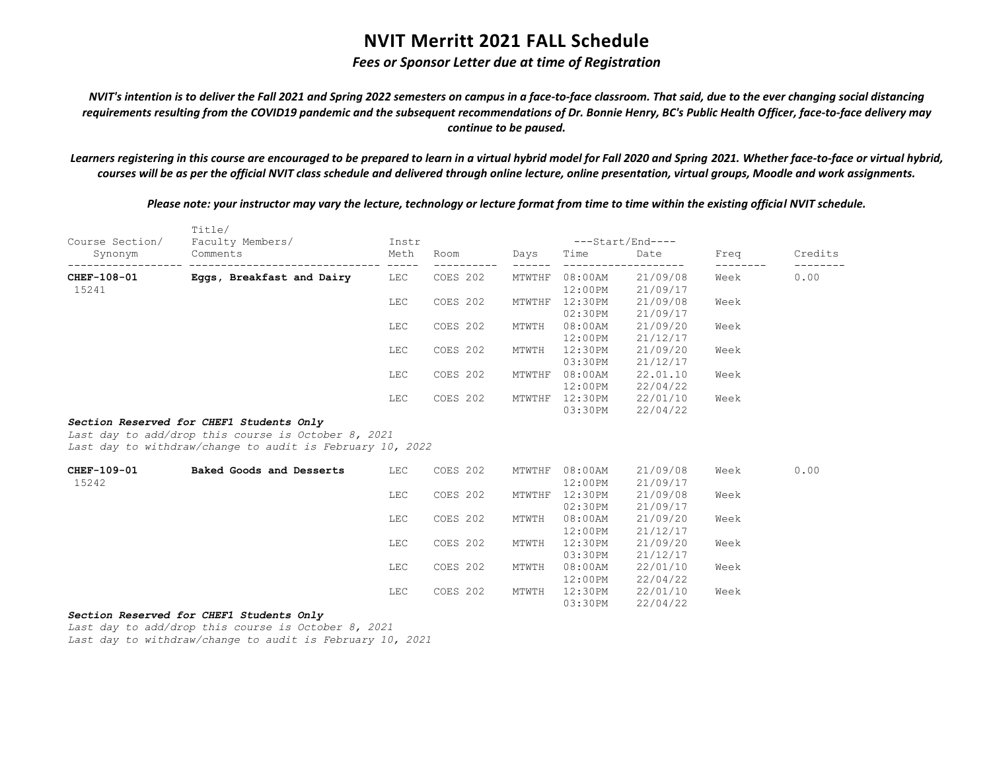## *Fees or Sponsor Letter due at time of Registration*

*NVIT's intention is to deliver the Fall 2021 and Spring 2022 semesters on campus in a face-to-face classroom. That said, due to the ever changing social distancing requirements resulting from the COVID19 pandemic and the subsequent recommendations of Dr. Bonnie Henry, BC's Public Health Officer, face-to-face delivery may continue to be paused.*

*Learners registering in this course are encouraged to be prepared to learn in a virtual hybrid model for Fall 2020 and Spring 2021. Whether face-to-face or virtual hybrid, courses will be as per the official NVIT class schedule and delivered through online lecture, online presentation, virtual groups, Moodle and work assignments.*

*Please note: your instructor may vary the lecture, technology or lecture format from time to time within the existing official NVIT schedule.*

| Course Section/ | Title/<br>Faculty Members/                                                                                                                                   | Instr |                        |        | ---Start/End---- |          |                           |         |
|-----------------|--------------------------------------------------------------------------------------------------------------------------------------------------------------|-------|------------------------|--------|------------------|----------|---------------------------|---------|
| Synonym         | Comments                                                                                                                                                     | Meth  | Room                   | Days   | Time             | Date     | Freq<br>$- - - - - - - -$ | Credits |
| CHEF-108-01     | ---------------------- -----<br>Eggs, Breakfast and Dairy                                                                                                    | LEC   | ----------<br>COES 202 | MTWTHF | $08:00$ AM       | 21/09/08 | Week                      | 0.00    |
| 15241           |                                                                                                                                                              |       |                        |        | $12:00$ PM       | 21/09/17 |                           |         |
|                 |                                                                                                                                                              | LEC   | COES 202               | MTWTHF | 12:30PM          | 21/09/08 | Week                      |         |
|                 |                                                                                                                                                              |       |                        |        | 02:30PM          | 21/09/17 |                           |         |
|                 |                                                                                                                                                              | LEC   | COES 202               | MTWTH  | $08:00$ AM       | 21/09/20 | Week                      |         |
|                 |                                                                                                                                                              |       |                        |        | 12:00PM          | 21/12/17 |                           |         |
|                 |                                                                                                                                                              | LEC   | COES 202               | MTWTH  | 12:30PM          | 21/09/20 | Week                      |         |
|                 |                                                                                                                                                              |       |                        |        | 03:30PM          | 21/12/17 |                           |         |
|                 |                                                                                                                                                              | LEC   | COES 202               | MTWTHF | $08:00$ AM       | 22.01.10 | Week                      |         |
|                 |                                                                                                                                                              |       |                        |        | $12:00$ PM       | 22/04/22 |                           |         |
|                 |                                                                                                                                                              | LEC   | COES 202               |        | MTWTHF 12:30PM   | 22/01/10 | Week                      |         |
|                 |                                                                                                                                                              |       |                        |        | 03:30PM          | 22/04/22 |                           |         |
|                 | Section Reserved for CHEF1 Students Only<br>Last day to add/drop this course is October 8, 2021<br>Last day to withdraw/change to audit is February 10, 2022 |       |                        |        |                  |          |                           |         |
| CHEF-109-01     | Baked Goods and Desserts                                                                                                                                     | LEC   | COES 202               | MTWTHF | $08:00$ AM       | 21/09/08 | Week                      | 0.00    |
| 15242           |                                                                                                                                                              |       |                        |        | $12:00$ PM       | 21/09/17 |                           |         |
|                 |                                                                                                                                                              | LEC   | COES 202               | MTWTHF | 12:30PM          | 21/09/08 | Week                      |         |
|                 |                                                                                                                                                              |       |                        |        | 02:30PM          | 21/09/17 |                           |         |
|                 |                                                                                                                                                              | LEC   | COES 202               | MTWTH  | $08:00$ AM       | 21/09/20 | Week                      |         |
|                 |                                                                                                                                                              |       |                        |        | 12:00PM          | 21/12/17 |                           |         |
|                 |                                                                                                                                                              | LEC   | COES 202               | MTWTH  | 12:30PM          | 21/09/20 | Week                      |         |
|                 |                                                                                                                                                              |       |                        |        | 03:30PM          | 21/12/17 |                           |         |
|                 |                                                                                                                                                              | LEC   | COES 202               | MTWTH  | $08:00$ AM       | 22/01/10 | Week                      |         |
|                 |                                                                                                                                                              |       |                        |        | 12:00PM          | 22/04/22 |                           |         |
|                 |                                                                                                                                                              | LEC   | COES 202               | MTWTH  | 12:30PM          | 22/01/10 | Week                      |         |
|                 |                                                                                                                                                              |       |                        |        | 03:30PM          | 22/04/22 |                           |         |

### *Section Reserved for CHEF1 Students Only*

*Last day to add/drop this course is October 8, 2021*

*Last day to withdraw/change to audit is February 10, 2021*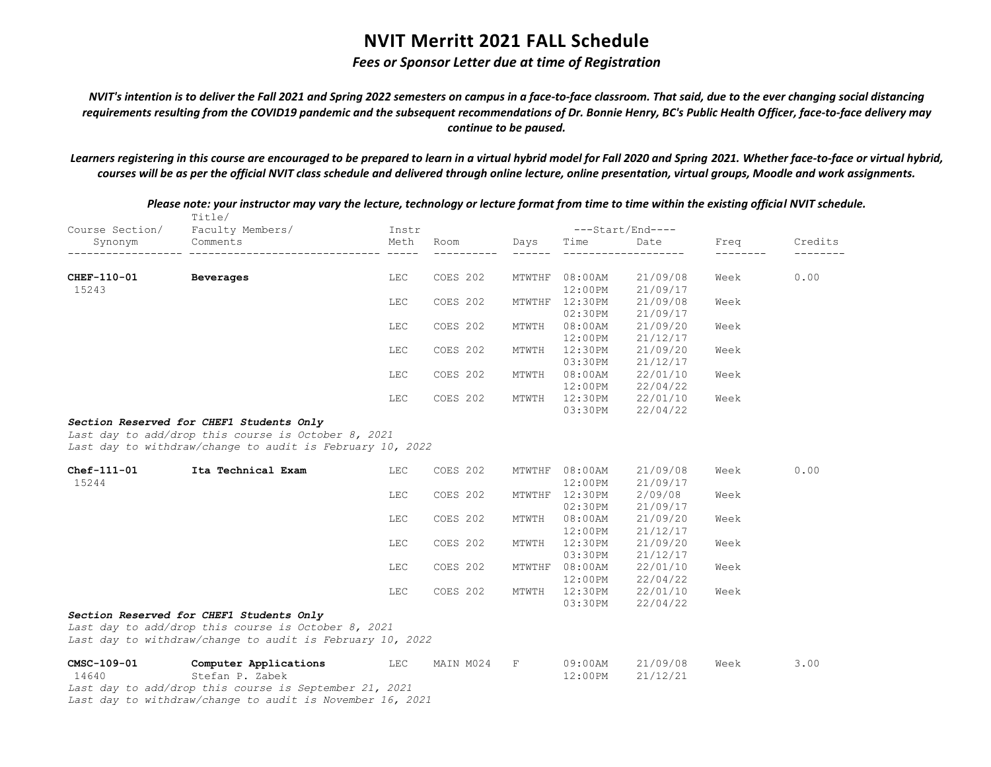## *Fees or Sponsor Letter due at time of Registration*

*NVIT's intention is to deliver the Fall 2021 and Spring 2022 semesters on campus in a face-to-face classroom. That said, due to the ever changing social distancing requirements resulting from the COVID19 pandemic and the subsequent recommendations of Dr. Bonnie Henry, BC's Public Health Officer, face-to-face delivery may continue to be paused.*

*Learners registering in this course are encouraged to be prepared to learn in a virtual hybrid model for Fall 2020 and Spring 2021. Whether face-to-face or virtual hybrid, courses will be as per the official NVIT class schedule and delivered through online lecture, online presentation, virtual groups, Moodle and work assignments.*

|                 | Title/                                                                                          |       |           |                         |                  |          |      |         |
|-----------------|-------------------------------------------------------------------------------------------------|-------|-----------|-------------------------|------------------|----------|------|---------|
| Course Section/ | Faculty Members/                                                                                | Instr |           |                         | ---Start/End---- |          |      |         |
| Synonym         | Comments                                                                                        | Meth  | Room      | Days<br>$- - - - - - -$ | Time             | Date     | Freq | Credits |
|                 |                                                                                                 |       |           |                         |                  |          |      |         |
| CHEF-110-01     | Beverages                                                                                       | LEC   | COES 202  |                         | MTWTHF 08:00AM   | 21/09/08 | Week | 0.00    |
| 15243           |                                                                                                 |       |           |                         | $12:00$ PM       | 21/09/17 |      |         |
|                 |                                                                                                 | LEC   | COES 202  | MTWTHF                  | 12:30PM          | 21/09/08 | Week |         |
|                 |                                                                                                 |       |           |                         | 02:30PM          | 21/09/17 |      |         |
|                 |                                                                                                 | LEC   | COES 202  | MTWTH                   | $08:00$ AM       | 21/09/20 | Week |         |
|                 |                                                                                                 |       |           |                         | $12:00$ PM       | 21/12/17 |      |         |
|                 |                                                                                                 | LEC   | COES 202  | MTWTH                   | 12:30PM          | 21/09/20 | Week |         |
|                 |                                                                                                 |       |           |                         | 03:30PM          | 21/12/17 |      |         |
|                 |                                                                                                 | LEC   | COES 202  | MTWTH                   | $08:00$ AM       | 22/01/10 | Week |         |
|                 |                                                                                                 |       |           |                         | $12:00$ PM       | 22/04/22 |      |         |
|                 |                                                                                                 | LEC   | COES 202  | MTWTH                   | 12:30PM          | 22/01/10 | Week |         |
|                 |                                                                                                 |       |           |                         | 03:30PM          | 22/04/22 |      |         |
|                 | Last day to withdraw/change to audit is February 10, 2022                                       |       |           |                         |                  |          |      |         |
| Chef-111-01     | Ita Technical Exam                                                                              | LEC   | COES 202  |                         | MTWTHF 08:00AM   | 21/09/08 | Week | 0.00    |
| 15244           |                                                                                                 |       |           |                         | 12:00PM          | 21/09/17 |      |         |
|                 |                                                                                                 | LEC   | COES 202  |                         | MTWTHF 12:30PM   | 2/09/08  | Week |         |
|                 |                                                                                                 |       |           |                         | 02:30PM          | 21/09/17 |      |         |
|                 |                                                                                                 | LEC   | COES 202  | MTWTH                   | $08:00$ AM       | 21/09/20 | Week |         |
|                 |                                                                                                 |       |           |                         | $12:00$ PM       | 21/12/17 |      |         |
|                 |                                                                                                 | LEC   | COES 202  | MTWTH                   | 12:30PM          | 21/09/20 | Week |         |
|                 |                                                                                                 |       |           |                         | 03:30PM          | 21/12/17 |      |         |
|                 |                                                                                                 | LEC   | COES 202  | MTWTHF                  | $08:00$ AM       | 22/01/10 | Week |         |
|                 |                                                                                                 |       |           |                         | $12:00$ PM       | 22/04/22 |      |         |
|                 |                                                                                                 | LEC   | COES 202  | MTWTH                   | 12:30PM          | 22/01/10 | Week |         |
|                 |                                                                                                 |       |           |                         | 03:30PM          | 22/04/22 |      |         |
|                 | Section Reserved for CHEF1 Students Only<br>Last day to add/drop this course is October 8, 2021 |       |           |                         |                  |          |      |         |
|                 | Last day to withdraw/change to audit is February 10, 2022                                       |       |           |                         |                  |          |      |         |
| CMSC-109-01     | Computer Applications                                                                           | LEC   | MAIN M024 | $\mathbf F$             | $09:00$ AM       | 21/09/08 | Week | 3.00    |
| 14640           | Stefan P. Zabek                                                                                 |       |           |                         | 12:00PM          | 21/12/21 |      |         |
|                 | Last day to add/drop this course is September 21, 2021                                          |       |           |                         |                  |          |      |         |
|                 | Last day to withdraw/change to audit is November 16, 2021                                       |       |           |                         |                  |          |      |         |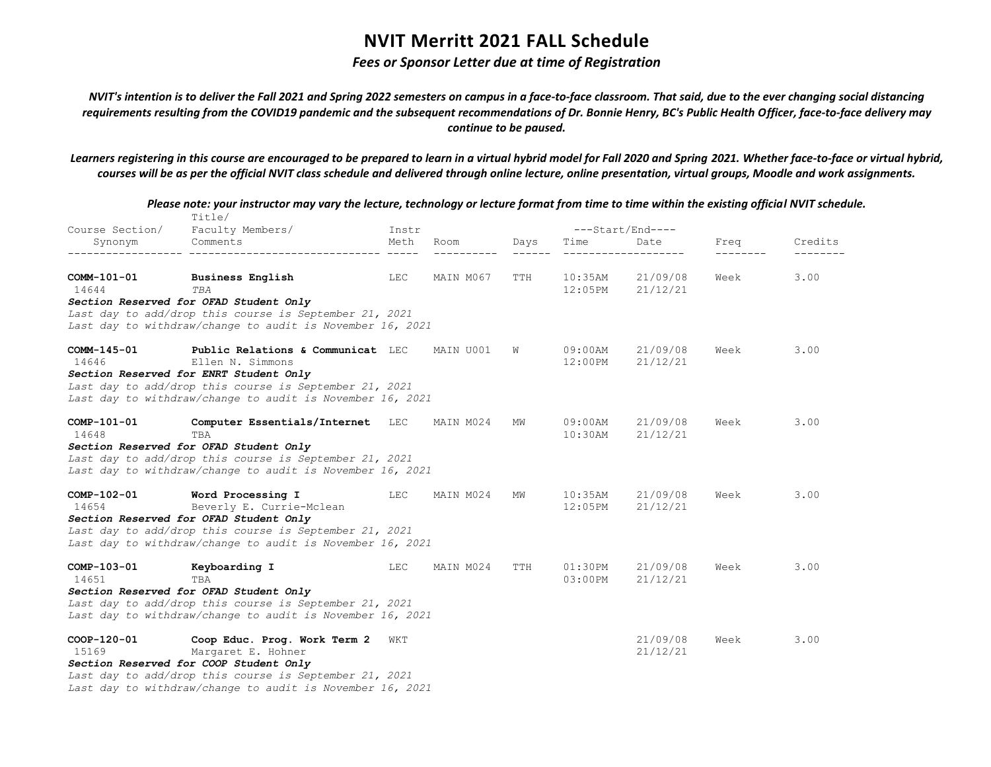## *Fees or Sponsor Letter due at time of Registration*

*NVIT's intention is to deliver the Fall 2021 and Spring 2022 semesters on campus in a face-to-face classroom. That said, due to the ever changing social distancing requirements resulting from the COVID19 pandemic and the subsequent recommendations of Dr. Bonnie Henry, BC's Public Health Officer, face-to-face delivery may continue to be paused.*

*Learners registering in this course are encouraged to be prepared to learn in a virtual hybrid model for Fall 2020 and Spring 2021. Whether face-to-face or virtual hybrid, courses will be as per the official NVIT class schedule and delivered through online lecture, online presentation, virtual groups, Moodle and work assignments.*

|                      | Title/                                                                                                                                                                                                                 |       |           |      |                          |                      |      |         |
|----------------------|------------------------------------------------------------------------------------------------------------------------------------------------------------------------------------------------------------------------|-------|-----------|------|--------------------------|----------------------|------|---------|
| Course Section/      | Faculty Members/                                                                                                                                                                                                       | Instr |           |      |                          | $---Start/End---$    |      |         |
| Synonym              | Comments<br>_________________________________                                                                                                                                                                          | Meth  | Room      | Days | Time                     | Date                 | Freq | Credits |
| COMM-101-01<br>14644 | <b>Business English</b><br>TBA<br>Section Reserved for OFAD Student Only                                                                                                                                               | LEC   | MAIN M067 | TTH  | $10:35$ AM<br>12:05PM    | 21/09/08<br>21/12/21 | Week | 3.00    |
|                      | Last day to add/drop this course is September 21, 2021<br>Last day to withdraw/change to audit is November 16, 2021                                                                                                    |       |           |      |                          |                      |      |         |
| COMM-145-01<br>14646 | Public Relations & Communicat LEC<br>Ellen N. Simmons<br>Section Reserved for ENRT Student Only<br>Last day to add/drop this course is September 21, 2021<br>Last day to withdraw/change to audit is November 16, 2021 |       | MAIN U001 | W    | 09:00AM<br>$12:00$ PM    | 21/09/08<br>21/12/21 | Week | 3.00    |
| COMP-101-01<br>14648 | Computer Essentials/Internet LEC<br>TBA<br>Section Reserved for OFAD Student Only<br>Last day to add/drop this course is September 21, 2021<br>Last day to withdraw/change to audit is November 16, 2021               |       | MAIN M024 | MW   | $09:00$ AM<br>$10:30$ AM | 21/09/08<br>21/12/21 | Week | 3.00    |
| COMP-102-01<br>14654 | Word Processing I<br>Beverly E. Currie-Mclean<br>Section Reserved for OFAD Student Only<br>Last day to add/drop this course is September 21, 2021<br>Last day to withdraw/change to audit is November 16, 2021         | LEC   | MAIN M024 | MW   | 10:35AM<br>12:05PM       | 21/09/08<br>21/12/21 | Week | 3.00    |
| COMP-103-01<br>14651 | Keyboarding I<br>TBA<br>Section Reserved for OFAD Student Only<br>Last day to add/drop this course is September 21, 2021<br>Last day to withdraw/change to audit is November 16, 2021                                  | LEC   | MAIN M024 | TTH  | 01:30PM<br>$03:00$ PM    | 21/09/08<br>21/12/21 | Week | 3.00    |
| COOP-120-01<br>15169 | Coop Educ. Prog. Work Term 2<br>Margaret E. Hohner<br>Section Reserved for COOP Student Only<br>Last day to add/drop this course is September 21, 2021<br>Last day to withdraw/change to audit is November 16, 2021    | WKT   |           |      |                          | 21/09/08<br>21/12/21 | Week | 3.00    |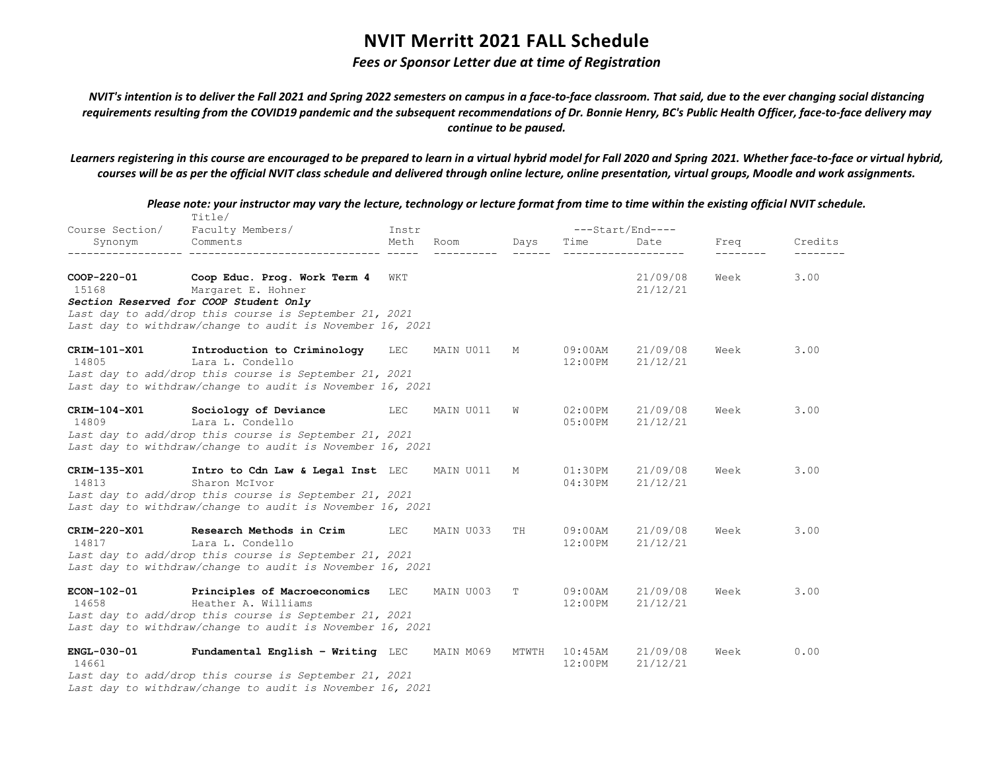## *Fees or Sponsor Letter due at time of Registration*

*NVIT's intention is to deliver the Fall 2021 and Spring 2022 semesters on campus in a face-to-face classroom. That said, due to the ever changing social distancing requirements resulting from the COVID19 pandemic and the subsequent recommendations of Dr. Bonnie Henry, BC's Public Health Officer, face-to-face delivery may continue to be paused.*

*Learners registering in this course are encouraged to be prepared to learn in a virtual hybrid model for Fall 2020 and Spring 2021. Whether face-to-face or virtual hybrid, courses will be as per the official NVIT class schedule and delivered through online lecture, online presentation, virtual groups, Moodle and work assignments.*

|                       | Please note: your instructor may vary the lecture, technology or lecture format from time to time within the existing official NVIT schedule.<br>Title/                    |            |           |       |                          |                      |      |         |
|-----------------------|----------------------------------------------------------------------------------------------------------------------------------------------------------------------------|------------|-----------|-------|--------------------------|----------------------|------|---------|
| Course Section/       | Faculty Members/                                                                                                                                                           | Instr      |           |       |                          | $---Start/End---$    |      |         |
| Synonym<br>---------- | Comments                                                                                                                                                                   | Meth       | Room      | Days  | Time                     | Date                 | Freq | Credits |
| COOP-220-01<br>15168  | Coop Educ. Prog. Work Term 4<br>Margaret E. Hohner<br>Section Reserved for COOP Student Only                                                                               | WKT        |           |       |                          | 21/09/08<br>21/12/21 | Week | 3.00    |
|                       | Last day to add/drop this course is September 21, 2021<br>Last day to withdraw/change to audit is November 16, 2021                                                        |            |           |       |                          |                      |      |         |
| CRIM-101-X01<br>14805 | Introduction to Criminology<br>Lara L. Condello<br>Last day to add/drop this course is September 21, 2021                                                                  | <b>LEC</b> | MAIN U011 | М     | $09:00$ AM<br>$12:00$ PM | 21/09/08<br>21/12/21 | Week | 3.00    |
|                       | Last day to withdraw/change to audit is November 16, 2021                                                                                                                  |            |           |       |                          |                      |      |         |
| CRIM-104-X01<br>14809 | Sociology of Deviance<br>Lara L. Condello<br>Last day to add/drop this course is September 21, 2021<br>Last day to withdraw/change to audit is November 16, 2021           | <b>LEC</b> | MAIN U011 | W     | $02:00$ PM<br>05:00PM    | 21/09/08<br>21/12/21 | Week | 3.00    |
| CRIM-135-X01<br>14813 | Intro to Cdn Law & Legal Inst LEC<br>Sharon McIvor<br>Last day to add/drop this course is September 21, 2021<br>Last day to withdraw/change to audit is November 16, 2021  |            | MAIN U011 | М     | $01:30$ PM<br>04:30PM    | 21/09/08<br>21/12/21 | Week | 3.00    |
| CRIM-220-X01<br>14817 | Research Methods in Crim<br>Lara L. Condello<br>Last day to add/drop this course is September 21, 2021<br>Last day to withdraw/change to audit is November 16, 2021        | <b>LEC</b> | MAIN U033 | TH    | $09:00$ AM<br>$12:00$ PM | 21/09/08<br>21/12/21 | Week | 3.00    |
| ECON-102-01<br>14658  | Principles of Macroeconomics<br>Heather A. Williams<br>Last day to add/drop this course is September 21, 2021<br>Last day to withdraw/change to audit is November 16, 2021 | LEC        | MAIN U003 | Т     | 09:00AM<br>$12:00$ PM    | 21/09/08<br>21/12/21 | Week | 3.00    |
| ENGL-030-01<br>14661  | Fundamental English - Writing LEC<br>Last day to add/drop this course is September 21, 2021<br>Last day to withdraw/change to audit is November 16, 2021                   |            | MAIN M069 | MTWTH | $10:45$ AM<br>12:00PM    | 21/09/08<br>21/12/21 | Week | 0.00    |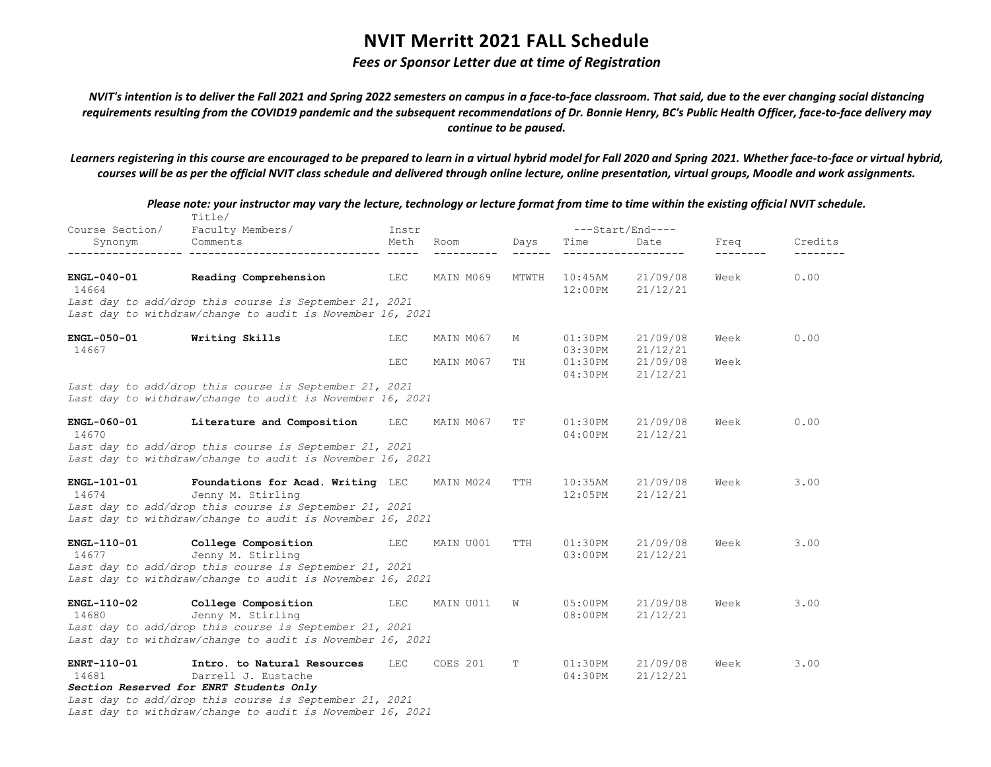## *Fees or Sponsor Letter due at time of Registration*

*NVIT's intention is to deliver the Fall 2021 and Spring 2022 semesters on campus in a face-to-face classroom. That said, due to the ever changing social distancing requirements resulting from the COVID19 pandemic and the subsequent recommendations of Dr. Bonnie Henry, BC's Public Health Officer, face-to-face delivery may continue to be paused.*

*Learners registering in this course are encouraged to be prepared to learn in a virtual hybrid model for Fall 2020 and Spring 2021. Whether face-to-face or virtual hybrid, courses will be as per the official NVIT class schedule and delivered through online lecture, online presentation, virtual groups, Moodle and work assignments.*

|                             | Please note: your instructor may vary the lecture, technology or lecture format from time to time within the existing official NVIT schedule.<br>Title/                       |       |           |       |                       |                      |                  |         |
|-----------------------------|-------------------------------------------------------------------------------------------------------------------------------------------------------------------------------|-------|-----------|-------|-----------------------|----------------------|------------------|---------|
|                             | Course Section/ Faculty Members/                                                                                                                                              | Instr |           |       |                       | ---Start/End----     |                  |         |
| Synonym                     | Comments                                                                                                                                                                      | Meth  | Room      | Days  | Time                  | Date                 | Freq<br>-------- | Credits |
| $ENGL-040-01$<br>14664      | Reading Comprehension                                                                                                                                                         | LEC   | MAIN M069 | MTWTH | 10:45AM<br>$12:00$ PM | 21/09/08<br>21/12/21 | Week             | 0.00    |
|                             | Last day to add/drop this course is September 21, 2021<br>Last day to withdraw/change to audit is November 16, 2021                                                           |       |           |       |                       |                      |                  |         |
| <b>ENGL-050-01</b><br>14667 | Writing Skills                                                                                                                                                                | LEC   | MAIN M067 | М     | $01:30$ PM<br>03:30PM | 21/09/08<br>21/12/21 | Week             | 0.00    |
|                             |                                                                                                                                                                               | LEC.  | MAIN M067 | TH    | $01:30$ PM<br>04:30PM | 21/09/08<br>21/12/21 | Week             |         |
|                             | Last day to add/drop this course is September 21, 2021<br>Last day to withdraw/change to audit is November 16, 2021                                                           |       |           |       |                       |                      |                  |         |
| ENGL-060-01<br>14670        | Literature and Composition                                                                                                                                                    | LEC   | MAIN M067 | TF    | 01:30PM<br>04:00PM    | 21/09/08<br>21/12/21 | Week             | 0.00    |
|                             | Last day to add/drop this course is September 21, 2021<br>Last day to withdraw/change to audit is November 16, 2021                                                           |       |           |       |                       |                      |                  |         |
| <b>ENGL-101-01</b><br>14674 | Foundations for Acad. Writing LEC<br>Jenny M. Stirling<br>Last day to add/drop this course is September 21, 2021<br>Last day to withdraw/change to audit is November 16, 2021 |       | MAIN M024 | TTH   | $10:35$ AM<br>12:05PM | 21/09/08<br>21/12/21 | Week             | 3.00    |
| ENGL-110-01<br>14677        | College Composition<br>Jenny M. Stirling<br>Last day to add/drop this course is September 21, 2021<br>Last day to withdraw/change to audit is November 16, 2021               | LEC   | MAIN U001 | TTH   | 01:30PM<br>$03:00$ PM | 21/09/08<br>21/12/21 | Week             | 3.00    |
| $ENGL-110-02$<br>14680      | College Composition<br>Jenny M. Stirling                                                                                                                                      | LEC   | MAIN U011 | W     | 05:00PM<br>08:00PM    | 21/09/08<br>21/12/21 | Week             | 3.00    |
|                             | Last day to add/drop this course is September 21, 2021<br>Last day to withdraw/change to audit is November 16, 2021                                                           |       |           |       |                       |                      |                  |         |
| ENRT-110-01<br>14681        | Intro, to Natural Resources<br>Darrell J. Eustache<br>Section Reserved for ENRT Students Only                                                                                 | LEC   | COES 201  | T     | $01:30$ PM<br>04:30PM | 21/09/08<br>21/12/21 | Week             | 3.00    |
|                             | Last day to add/drop this course is September 21, 2021<br>Last day to withdraw/change to audit is November 16, 2021                                                           |       |           |       |                       |                      |                  |         |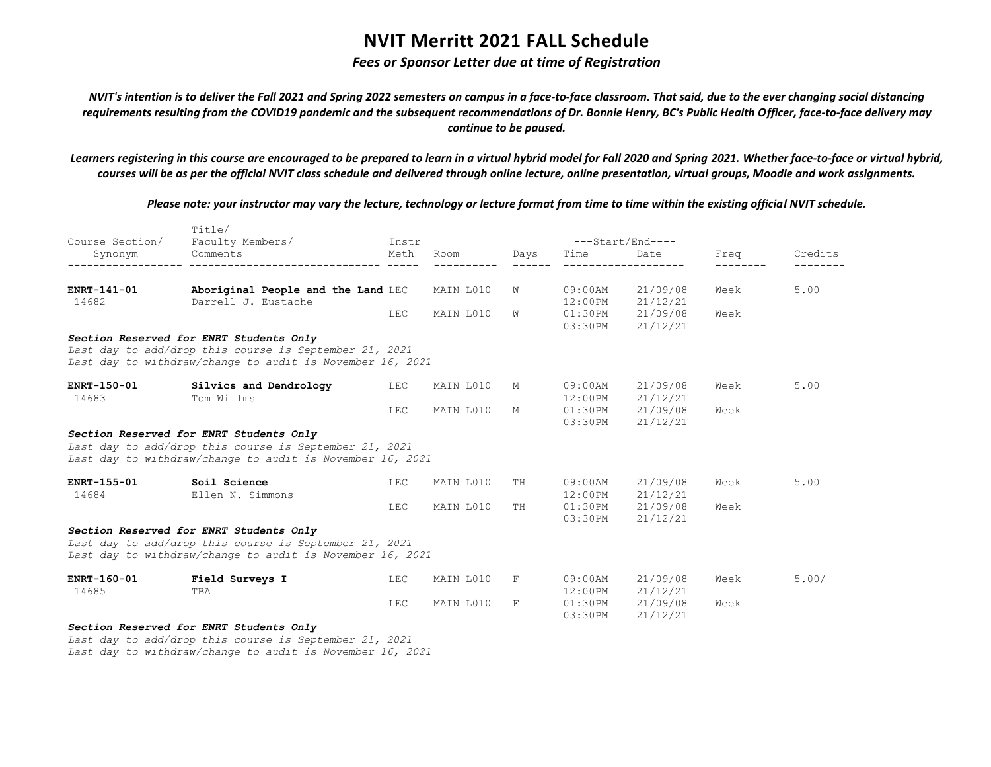## *Fees or Sponsor Letter due at time of Registration*

*NVIT's intention is to deliver the Fall 2021 and Spring 2022 semesters on campus in a face-to-face classroom. That said, due to the ever changing social distancing requirements resulting from the COVID19 pandemic and the subsequent recommendations of Dr. Bonnie Henry, BC's Public Health Officer, face-to-face delivery may continue to be paused.*

*Learners registering in this course are encouraged to be prepared to learn in a virtual hybrid model for Fall 2020 and Spring 2021. Whether face-to-face or virtual hybrid, courses will be as per the official NVIT class schedule and delivered through online lecture, online presentation, virtual groups, Moodle and work assignments.*

*Please note: your instructor may vary the lecture, technology or lecture format from time to time within the existing official NVIT schedule.*

|                      | Title/                                                                                                                                                         |            |           |      |                          |                      |      |         |
|----------------------|----------------------------------------------------------------------------------------------------------------------------------------------------------------|------------|-----------|------|--------------------------|----------------------|------|---------|
| Course Section/      | Faculty Members/                                                                                                                                               | Instr      |           |      |                          | $---Start/End---$    |      |         |
| Synonym              | Comments                                                                                                                                                       | Meth       | Room      | Days | Time                     | Date                 | Freq | Credits |
| ENRT-141-01          | Aboriginal People and the Land LEC                                                                                                                             |            | MAIN L010 | W    | 09:00AM                  | 21/09/08             | Week | 5.00    |
| 14682                | Darrell J. Eustache                                                                                                                                            |            |           |      | $12:00$ PM               | 21/12/21             |      |         |
|                      |                                                                                                                                                                | <b>LEC</b> | MAIN L010 | W    | $01:30$ PM               | 21/09/08             | Week |         |
|                      | Section Reserved for ENRT Students Only<br>Last day to add/drop this course is September 21, 2021                                                              |            |           |      | 03:30PM                  | 21/12/21             |      |         |
|                      | Last day to withdraw/change to audit is November 16, 2021                                                                                                      |            |           |      |                          |                      |      |         |
| ENRT-150-01<br>14683 | Silvics and Dendrology<br>Tom Willms                                                                                                                           | LEC        | MAIN L010 | М    | $09:00$ AM<br>$12:00$ PM | 21/09/08<br>21/12/21 | Week | 5.00    |
|                      |                                                                                                                                                                | LEC        | MAIN L010 | M    | $01:30$ PM<br>03:30PM    | 21/09/08<br>21/12/21 | Week |         |
|                      | Section Reserved for ENRT Students Only<br>Last day to add/drop this course is September 21, 2021<br>Last day to withdraw/change to audit is November 16, 2021 |            |           |      |                          |                      |      |         |
| ENRT-155-01<br>14684 | Soil Science<br>Ellen N. Simmons                                                                                                                               | LEC        | MAIN L010 | TH   | $09:00$ AM<br>$12:00$ PM | 21/09/08<br>21/12/21 | Week | 5.00    |
|                      |                                                                                                                                                                | <b>LEC</b> | MAIN L010 | TH   | $01:30$ PM<br>03:30PM    | 21/09/08<br>21/12/21 | Week |         |
|                      | Section Reserved for ENRT Students Only<br>Last day to add/drop this course is September 21, 2021<br>Last day to withdraw/change to audit is November 16, 2021 |            |           |      |                          |                      |      |         |
| ENRT-160-01<br>14685 | Field Surveys I<br>TBA                                                                                                                                         | LEC        | MAIN L010 | F    | $09:00$ AM<br>$12:00$ PM | 21/09/08<br>21/12/21 | Week | 5.00/   |
|                      |                                                                                                                                                                | <b>LEC</b> | MAIN L010 | F    | 01:30PM<br>03:30PM       | 21/09/08<br>21/12/21 | Week |         |
|                      | Section Reserved for ENRT Students Only                                                                                                                        |            |           |      |                          |                      |      |         |
|                      | Last day to add/drop this course is September 21, 2021                                                                                                         |            |           |      |                          |                      |      |         |

*Last day to withdraw/change to audit is November 16, 2021*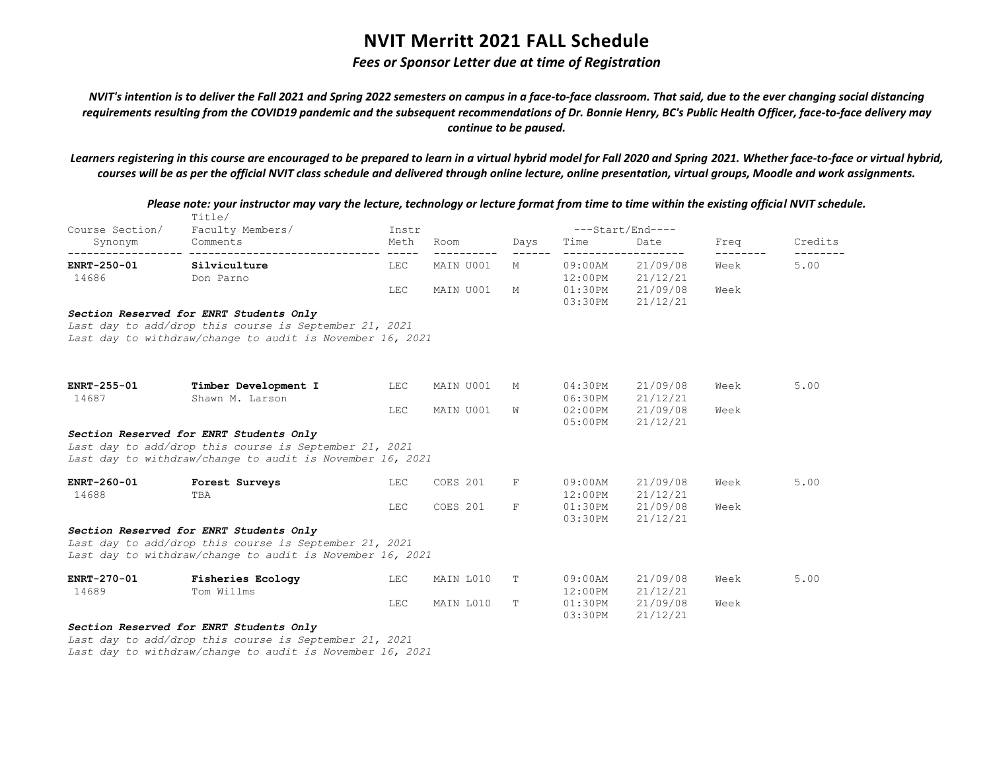## *Fees or Sponsor Letter due at time of Registration*

*NVIT's intention is to deliver the Fall 2021 and Spring 2022 semesters on campus in a face-to-face classroom. That said, due to the ever changing social distancing requirements resulting from the COVID19 pandemic and the subsequent recommendations of Dr. Bonnie Henry, BC's Public Health Officer, face-to-face delivery may continue to be paused.*

*Learners registering in this course are encouraged to be prepared to learn in a virtual hybrid model for Fall 2020 and Spring 2021. Whether face-to-face or virtual hybrid, courses will be as per the official NVIT class schedule and delivered through online lecture, online presentation, virtual groups, Moodle and work assignments.*

| Please note: your instructor may vary the lecture, technology or lecture format from time to time within the existing official NVIT schedule. | Title/                                                    |               |           |             |                    |                          |      |         |
|-----------------------------------------------------------------------------------------------------------------------------------------------|-----------------------------------------------------------|---------------|-----------|-------------|--------------------|--------------------------|------|---------|
| Course Section/                                                                                                                               | Faculty Members/<br>Comments                              | Instr<br>Meth | Room      |             | Time               | ---Start/End----<br>Date | Freq | Credits |
| Synonym                                                                                                                                       |                                                           | -----         |           | Days        |                    |                          |      |         |
| ENRT-250-01                                                                                                                                   | Silviculture                                              | <b>LEC</b>    | MAIN U001 | М           | $09:00$ AM         | 21/09/08                 | Week | 5.00    |
| 14686                                                                                                                                         | Don Parno                                                 |               |           |             | $12:00$ PM         | 21/12/21                 |      |         |
|                                                                                                                                               |                                                           | LEC           | MAIN U001 | М           | 01:30PM<br>03:30PM | 21/09/08<br>21/12/21     | Week |         |
|                                                                                                                                               | Section Reserved for ENRT Students Only                   |               |           |             |                    |                          |      |         |
|                                                                                                                                               | Last day to add/drop this course is September 21, 2021    |               |           |             |                    |                          |      |         |
|                                                                                                                                               | Last day to withdraw/change to audit is November 16, 2021 |               |           |             |                    |                          |      |         |
|                                                                                                                                               |                                                           |               |           |             |                    |                          |      |         |
| ENRT-255-01                                                                                                                                   | Timber Development I                                      | LEC           | MAIN U001 | М           | 04:30PM            | 21/09/08                 | Week | 5.00    |
| 14687                                                                                                                                         | Shawn M. Larson                                           |               |           |             | 06:30PM            | 21/12/21                 |      |         |
|                                                                                                                                               |                                                           | LEC           | MAIN U001 | W           | $02:00$ PM         | 21/09/08                 | Week |         |
|                                                                                                                                               |                                                           |               |           |             | $05:00$ PM         | 21/12/21                 |      |         |
|                                                                                                                                               | Section Reserved for ENRT Students Only                   |               |           |             |                    |                          |      |         |
|                                                                                                                                               | Last day to add/drop this course is September 21, 2021    |               |           |             |                    |                          |      |         |
|                                                                                                                                               | Last day to withdraw/change to audit is November 16, 2021 |               |           |             |                    |                          |      |         |
| ENRT-260-01                                                                                                                                   | Forest Surveys                                            | <b>LEC</b>    | COES 201  | $\mathbf F$ | $09:00$ AM         | 21/09/08                 | Week | 5.00    |
| 14688                                                                                                                                         | TBA                                                       |               |           |             | $12:00$ PM         | 21/12/21                 |      |         |
|                                                                                                                                               |                                                           | LEC           | COES 201  | $\mathbf F$ | 01:30PM            | 21/09/08                 | Week |         |
|                                                                                                                                               |                                                           |               |           |             | 03:30PM            | 21/12/21                 |      |         |
|                                                                                                                                               | Section Reserved for ENRT Students Only                   |               |           |             |                    |                          |      |         |
|                                                                                                                                               | Last day to add/drop this course is September 21, 2021    |               |           |             |                    |                          |      |         |
|                                                                                                                                               | Last day to withdraw/change to audit is November 16, 2021 |               |           |             |                    |                          |      |         |
| ENRT-270-01                                                                                                                                   | Fisheries Ecology                                         | LEC           | MAIN L010 | Т           | $09:00$ AM         | 21/09/08                 | Week | 5.00    |
| 14689                                                                                                                                         | Tom Willms                                                |               |           |             | 12:00PM            | 21/12/21                 |      |         |
|                                                                                                                                               |                                                           | <b>LEC</b>    | MAIN L010 | Т           | 01:30PM            | 21/09/08                 | Week |         |
|                                                                                                                                               |                                                           |               |           |             | 03:30PM            | 21/12/21                 |      |         |
|                                                                                                                                               | Section Reserved for ENRT Students Only                   |               |           |             |                    |                          |      |         |

*Last day to add/drop this course is September 21, 2021 Last day to withdraw/change to audit is November 16, 2021*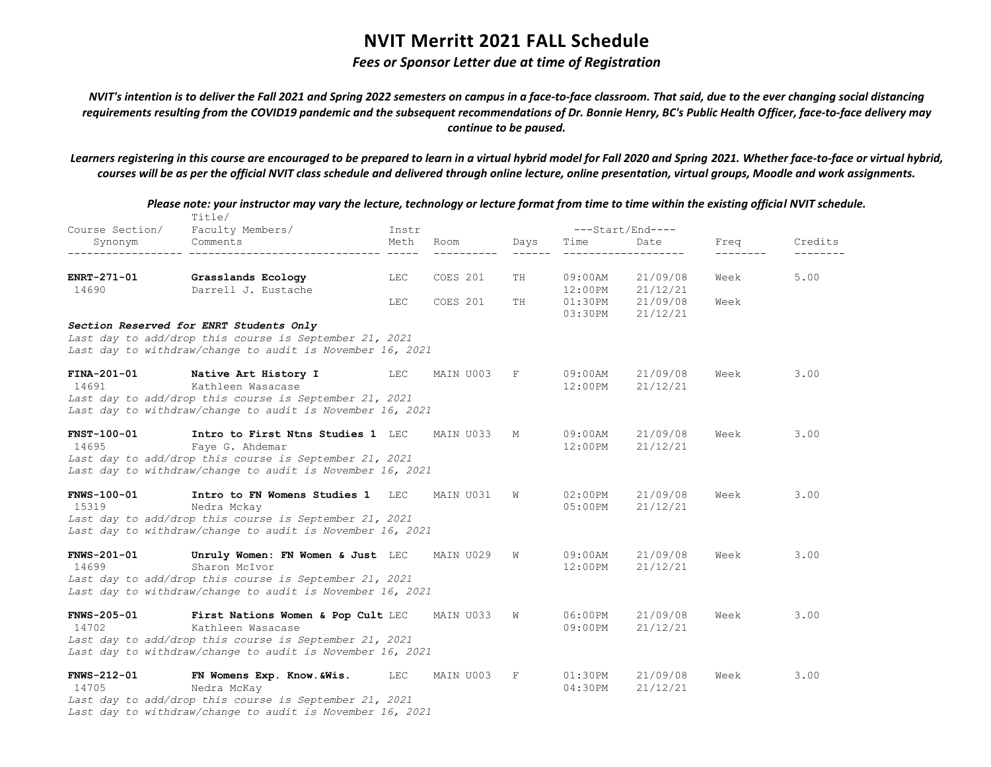## *Fees or Sponsor Letter due at time of Registration*

*NVIT's intention is to deliver the Fall 2021 and Spring 2022 semesters on campus in a face-to-face classroom. That said, due to the ever changing social distancing requirements resulting from the COVID19 pandemic and the subsequent recommendations of Dr. Bonnie Henry, BC's Public Health Officer, face-to-face delivery may continue to be paused.*

*Learners registering in this course are encouraged to be prepared to learn in a virtual hybrid model for Fall 2020 and Spring 2021. Whether face-to-face or virtual hybrid, courses will be as per the official NVIT class schedule and delivered through online lecture, online presentation, virtual groups, Moodle and work assignments.*

|                             | Please note: your instructor may vary the lecture, technology or lecture format from time to time within the existing official NVIT schedule.<br>Title/ |       |           |                         |                          |                              |                  |                     |
|-----------------------------|---------------------------------------------------------------------------------------------------------------------------------------------------------|-------|-----------|-------------------------|--------------------------|------------------------------|------------------|---------------------|
| Course Section/             | Faculty Members/                                                                                                                                        | Instr |           |                         |                          | ---Start/End----             |                  |                     |
| Synonym                     | Comments                                                                                                                                                | Meth  | Room      | Days<br>$- - - - - - -$ | Time                     | Date<br>-------------------- | Freq<br>-------- | Credits<br>________ |
| <b>ENRT-271-01</b>          | Grasslands Ecology                                                                                                                                      | LEC   | COES 201  | TH                      | 09:00AM                  | 21/09/08                     | Week             | 5.00                |
| 14690                       | Darrell J. Eustache                                                                                                                                     |       |           |                         | 12:00PM                  | 21/12/21                     |                  |                     |
|                             |                                                                                                                                                         | LEC   | COES 201  | TH                      | 01:30PM<br>03:30PM       | 21/09/08<br>21/12/21         | Week             |                     |
|                             | Section Reserved for ENRT Students Only                                                                                                                 |       |           |                         |                          |                              |                  |                     |
|                             | Last day to add/drop this course is September 21, 2021<br>Last day to withdraw/change to audit is November 16, 2021                                     |       |           |                         |                          |                              |                  |                     |
| FINA-201-01<br>14691        | Native Art History I<br>Kathleen Wasacase                                                                                                               | LEC   | MAIN U003 | F                       | 09:00AM<br>12:00PM       | 21/09/08<br>21/12/21         | Week             | 3.00                |
|                             | Last day to add/drop this course is September 21, 2021<br>Last day to withdraw/change to audit is November 16, 2021                                     |       |           |                         |                          |                              |                  |                     |
| <b>FNST-100-01</b><br>14695 | Intro to First Ntns Studies 1 LEC                                                                                                                       |       | MAIN U033 | М                       | $09:00$ AM<br>$12:00$ PM | 21/09/08<br>21/12/21         | Week             | 3.00                |
|                             | Faye G. Ahdemar<br>Last day to add/drop this course is September 21, 2021<br>Last day to withdraw/change to audit is November 16, 2021                  |       |           |                         |                          |                              |                  |                     |
| $FWS-100-01$                | Intro to FN Womens Studies 1 LEC                                                                                                                        |       | MAIN U031 | W                       | $02:00$ PM               | 21/09/08                     | Week             | 3.00                |
| 15319                       | Nedra Mckay<br>Last day to add/drop this course is September 21, 2021                                                                                   |       |           |                         | 05:00PM                  | 21/12/21                     |                  |                     |
|                             | Last day to withdraw/change to audit is November 16, 2021                                                                                               |       |           |                         |                          |                              |                  |                     |
| <b>FNWS-201-01</b><br>14699 | Unruly Women: FN Women & Just LEC<br>Sharon McIvor                                                                                                      |       | MAIN U029 | W                       | $09:00$ AM<br>12:00PM    | 21/09/08<br>21/12/21         | Week             | 3.00                |
|                             | Last day to add/drop this course is September 21, 2021<br>Last day to withdraw/change to audit is November 16, 2021                                     |       |           |                         |                          |                              |                  |                     |
| <b>FNWS-205-01</b><br>14702 | First Nations Women & Pop Cult LEC<br>Kathleen Wasacase                                                                                                 |       | MAIN U033 | W                       | 06:00PM<br>09:00PM       | 21/09/08<br>21/12/21         | Week             | 3.00                |
|                             | Last day to add/drop this course is September 21, 2021                                                                                                  |       |           |                         |                          |                              |                  |                     |
|                             | Last day to withdraw/change to audit is November 16, 2021                                                                                               |       |           |                         |                          |                              |                  |                     |
| <b>FNWS-212-01</b>          | FN Womens Exp. Know.&Wis.                                                                                                                               | LEC   | MAIN U003 | F                       | $01:30$ PM               | 21/09/08                     | Week             | 3.00                |
| 14705                       | Nedra McKay<br>Last day to add/drop this course is September 21, 2021                                                                                   |       |           |                         | 04:30PM                  | 21/12/21                     |                  |                     |
|                             | Last day to withdraw/change to audit is November 16, 2021                                                                                               |       |           |                         |                          |                              |                  |                     |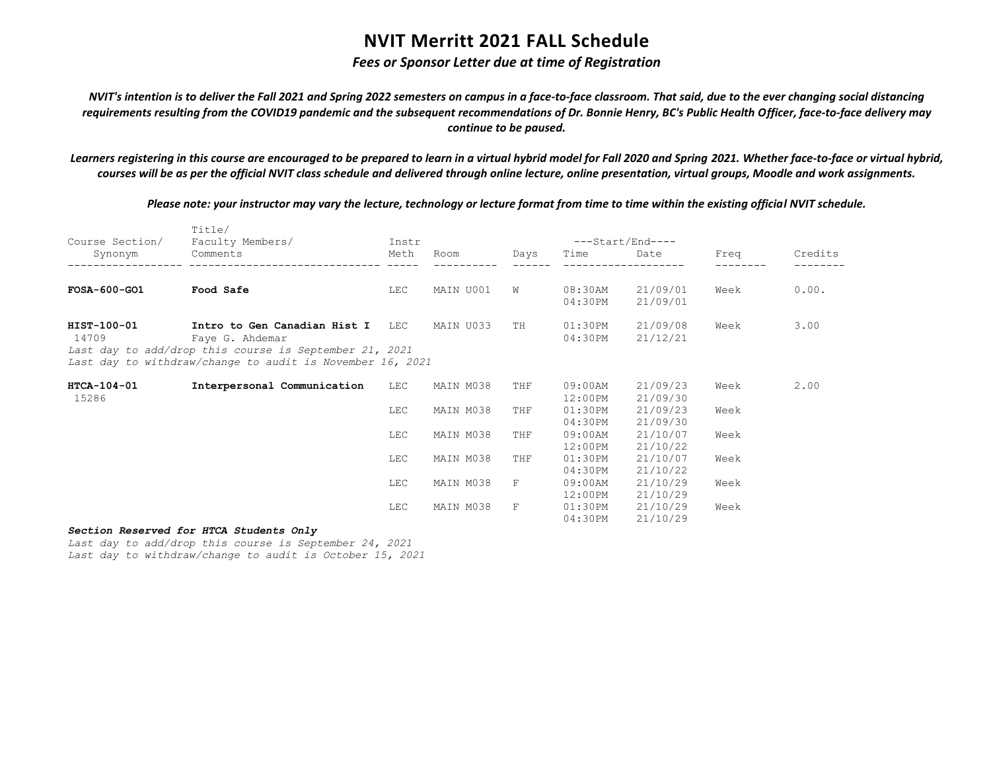## *Fees or Sponsor Letter due at time of Registration*

*NVIT's intention is to deliver the Fall 2021 and Spring 2022 semesters on campus in a face-to-face classroom. That said, due to the ever changing social distancing requirements resulting from the COVID19 pandemic and the subsequent recommendations of Dr. Bonnie Henry, BC's Public Health Officer, face-to-face delivery may continue to be paused.*

*Learners registering in this course are encouraged to be prepared to learn in a virtual hybrid model for Fall 2020 and Spring 2021. Whether face-to-face or virtual hybrid, courses will be as per the official NVIT class schedule and delivered through online lecture, online presentation, virtual groups, Moodle and work assignments.*

*Please note: your instructor may vary the lecture, technology or lecture format from time to time within the existing official NVIT schedule.*

| Course Section/      | Title/<br>Faculty Members/                                                                                                                                                 | Instr      |           |      |                          | $---Start/End---$    |      |         |
|----------------------|----------------------------------------------------------------------------------------------------------------------------------------------------------------------------|------------|-----------|------|--------------------------|----------------------|------|---------|
| Synonym              | Comments                                                                                                                                                                   | Meth       | Room      | Days | Time                     | Date                 | Freq | Credits |
| $FOSA-600-GO1$       | Food Safe                                                                                                                                                                  | LEC        | MAIN U001 | W    | 08:30AM<br>04:30PM       | 21/09/01<br>21/09/01 | Week | 0.00.   |
| HIST-100-01<br>14709 | Intro to Gen Canadian Hist I LEC<br>Faye G. Ahdemar<br>Last day to add/drop this course is September 21, 2021<br>Last day to withdraw/change to audit is November 16, 2021 |            | MAIN U033 | TH   | 01:30PM<br>04:30PM       | 21/09/08<br>21/12/21 | Week | 3.00    |
| HTCA-104-01<br>15286 | Interpersonal Communication                                                                                                                                                | LEC        | MAIN M038 | THF  | 09:00AM<br>$12:00$ PM    | 21/09/23<br>21/09/30 | Week | 2.00    |
|                      |                                                                                                                                                                            | <b>LEC</b> | MAIN M038 | THF  | 01:30PM<br>04:30PM       | 21/09/23<br>21/09/30 | Week |         |
|                      |                                                                                                                                                                            | <b>LEC</b> | MAIN M038 | THF  | $09:00$ AM<br>$12:00$ PM | 21/10/07<br>21/10/22 | Week |         |
|                      |                                                                                                                                                                            | <b>LEC</b> | MAIN M038 | THF  | 01:30PM<br>04:30PM       | 21/10/07<br>21/10/22 | Week |         |
|                      |                                                                                                                                                                            | <b>LEC</b> | MAIN M038 | F    | $09:00$ AM<br>$12:00$ PM | 21/10/29<br>21/10/29 | Week |         |
|                      |                                                                                                                                                                            | <b>LEC</b> | MAIN M038 | F    | $01:30$ PM<br>04:30PM    | 21/10/29<br>21/10/29 | Week |         |

### *Section Reserved for HTCA Students Only*

*Last day to add/drop this course is September 24, 2021 Last day to withdraw/change to audit is October 15, 2021*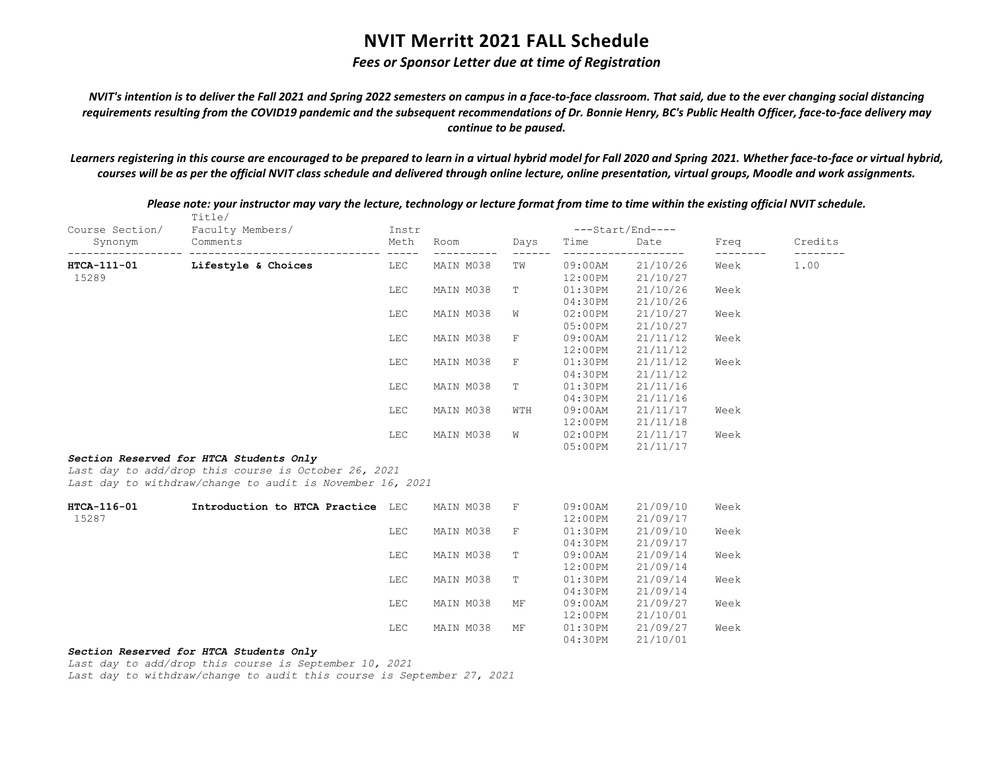## *Fees or Sponsor Letter due at time of Registration*

*NVIT's intention is to deliver the Fall 2021 and Spring 2022 semesters on campus in a face-to-face classroom. That said, due to the ever changing social distancing requirements resulting from the COVID19 pandemic and the subsequent recommendations of Dr. Bonnie Henry, BC's Public Health Officer, face-to-face delivery may continue to be paused.*

*Learners registering in this course are encouraged to be prepared to learn in a virtual hybrid model for Fall 2020 and Spring 2021. Whether face-to-face or virtual hybrid, courses will be as per the official NVIT class schedule and delivered through online lecture, online presentation, virtual groups, Moodle and work assignments.*

|                 | Title/                                                    |                       |           |             |            |                  |      |         |
|-----------------|-----------------------------------------------------------|-----------------------|-----------|-------------|------------|------------------|------|---------|
| Course Section/ | Faculty Members/<br>Comments                              | Instr                 |           |             |            | ---Start/End---- |      |         |
| Synonym         |                                                           | Meth<br>$\frac{1}{2}$ | Room      | Days        | Time       | Date             | Freq | Credits |
| HTCA-111-01     | Lifestyle & Choices                                       | LEC                   | MAIN M038 | ΤW          | $09:00$ AM | 21/10/26         | Week | 1.00    |
| 15289           |                                                           |                       |           |             | 12:00PM    | 21/10/27         |      |         |
|                 |                                                           | LEC                   | MAIN M038 | Т           | 01:30PM    | 21/10/26         | Week |         |
|                 |                                                           |                       |           |             | 04:30PM    | 21/10/26         |      |         |
|                 |                                                           | LEC                   | MAIN M038 | W           | 02:00PM    | 21/10/27         | Week |         |
|                 |                                                           |                       |           |             | 05:00PM    | 21/10/27         |      |         |
|                 |                                                           | LEC                   | MAIN M038 | F           | $09:00$ AM | 21/11/12         | Week |         |
|                 |                                                           |                       |           |             | 12:00PM    | 21/11/12         |      |         |
|                 |                                                           | LEC                   | MAIN M038 | F           | 01:30PM    | 21/11/12         | Week |         |
|                 |                                                           |                       |           |             | 04:30PM    | 21/11/12         |      |         |
|                 |                                                           | LEC                   | MAIN M038 | Т           | 01:30PM    | 21/11/16         |      |         |
|                 |                                                           |                       |           |             | 04:30PM    | 21/11/16         |      |         |
|                 |                                                           | LEC                   | MAIN M038 | WTH         | $09:00$ AM | 21/11/17         | Week |         |
|                 |                                                           |                       |           |             | 12:00PM    | 21/11/18         |      |         |
|                 |                                                           | LEC                   | MAIN M038 | M           | 02:00PM    | 21/11/17         | Week |         |
|                 |                                                           |                       |           |             | $05:00$ PM | 21/11/17         |      |         |
|                 | Section Reserved for HTCA Students Only                   |                       |           |             |            |                  |      |         |
|                 | Last day to add/drop this course is October 26, 2021      |                       |           |             |            |                  |      |         |
|                 | Last day to withdraw/change to audit is November 16, 2021 |                       |           |             |            |                  |      |         |
| HTCA-116-01     | Introduction to HTCA Practice LEC                         |                       | MAIN M038 | F           | $09:00$ AM | 21/09/10         | Week |         |
| 15287           |                                                           |                       |           |             | 12:00PM    | 21/09/17         |      |         |
|                 |                                                           | LEC                   | MAIN M038 | $\mathbf F$ | 01:30PM    | 21/09/10         | Week |         |
|                 |                                                           |                       |           |             | 04:30PM    | 21/09/17         |      |         |
|                 |                                                           | LEC                   | MAIN M038 | T           | 09:00AM    | 21/09/14         | Week |         |
|                 |                                                           |                       |           |             | 12:00PM    | 21/09/14         |      |         |
|                 |                                                           | LEC                   | MAIN M038 | Т           | 01:30PM    | 21/09/14         | Week |         |
|                 |                                                           |                       |           |             | 04:30PM    | 21/09/14         |      |         |
|                 |                                                           | LEC                   | MAIN M038 | MF          | 09:00AM    | 21/09/27         | Week |         |
|                 |                                                           |                       |           |             | 12:00PM    | 21/10/01         |      |         |
|                 |                                                           | LEC                   | MAIN M038 | МF          | 01:30PM    | 21/09/27         | Week |         |
|                 |                                                           |                       |           |             | 04:30PM    | 21/10/01         |      |         |
|                 | Section Reserved for HTCA Students Only                   |                       |           |             |            |                  |      |         |

*Please note: your instructor may vary the lecture, technology or lecture format from time to time within the existing official NVIT schedule.*

*Last day to add/drop this course is September 10, 2021*

*Last day to withdraw/change to audit this course is September 27, 2021*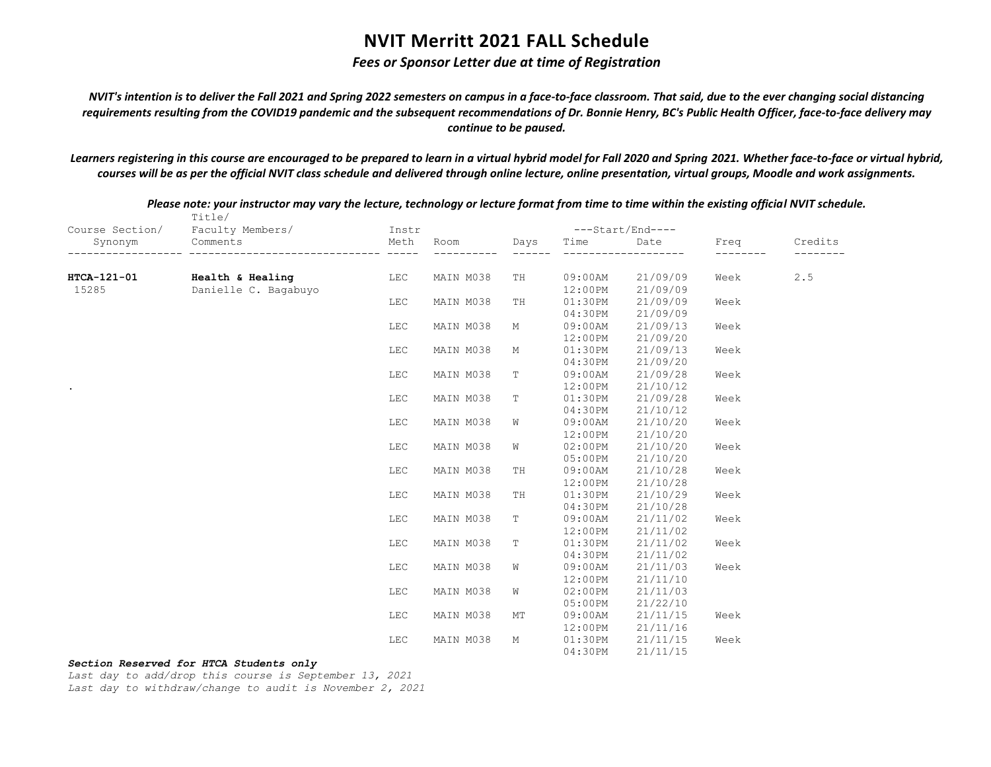## *Fees or Sponsor Letter due at time of Registration*

*NVIT's intention is to deliver the Fall 2021 and Spring 2022 semesters on campus in a face-to-face classroom. That said, due to the ever changing social distancing requirements resulting from the COVID19 pandemic and the subsequent recommendations of Dr. Bonnie Henry, BC's Public Health Officer, face-to-face delivery may continue to be paused.*

*Learners registering in this course are encouraged to be prepared to learn in a virtual hybrid model for Fall 2020 and Spring 2021. Whether face-to-face or virtual hybrid, courses will be as per the official NVIT class schedule and delivered through online lecture, online presentation, virtual groups, Moodle and work assignments.*

|                 | Title/               |       |           |      |         |                  |      |         |
|-----------------|----------------------|-------|-----------|------|---------|------------------|------|---------|
| Course Section/ | Faculty Members/     | Instr |           |      |         | ---Start/End---- |      |         |
| Synonym         | Comments             | Meth  | Room      | Days | Time    | Date             | Freq | Credits |
| HTCA-121-01     | Health & Healing     | LEC   | MAIN M038 | TH   | 09:00AM | 21/09/09         | Week |         |
| 15285           | Danielle C. Bagabuyo |       |           |      | 12:00PM | 21/09/09         |      |         |
|                 |                      | LEC   | MAIN M038 | TH   | 01:30PM | 21/09/09         | Week | 2.5     |
|                 |                      |       |           |      | 04:30PM | 21/09/09         |      |         |
|                 |                      | LEC   | MAIN M038 | М    | 09:00AM | 21/09/13         | Week |         |
|                 |                      |       |           |      | 12:00PM | 21/09/20         |      |         |
|                 |                      | LEC   | MAIN M038 | М    | 01:30PM | 21/09/13         | Week |         |
|                 |                      |       |           |      | 04:30PM | 21/09/20         |      |         |
|                 |                      | LEC   | MAIN M038 | Т    | 09:00AM | 21/09/28         | Week |         |
|                 |                      |       |           |      | 12:00PM | 21/10/12         |      |         |
|                 |                      | LEC   | MAIN M038 | T    | 01:30PM | 21/09/28         | Week |         |
|                 |                      |       |           |      | 04:30PM | 21/10/12         |      |         |
|                 |                      | LEC   | MAIN M038 | W    | 09:00AM | 21/10/20         | Week |         |
|                 |                      |       |           |      | 12:00PM | 21/10/20         |      |         |
|                 |                      | LEC   | MAIN M038 | W    | 02:00PM | 21/10/20         | Week |         |
|                 |                      |       |           |      | 05:00PM | 21/10/20         |      |         |
|                 |                      | LEC   | MAIN M038 | TH   | 09:00AM | 21/10/28         | Week |         |
|                 |                      |       |           |      | 12:00PM | 21/10/28         |      |         |
|                 |                      | LEC   | MAIN M038 | TH   | 01:30PM | 21/10/29         | Week |         |
|                 |                      |       |           |      | 04:30PM | 21/10/28         |      |         |
|                 |                      | LEC   | MAIN M038 | Т    | 09:00AM | 21/11/02         | Week |         |
|                 |                      |       |           |      | 12:00PM | 21/11/02         |      |         |
|                 |                      | LEC   | MAIN M038 | T    | 01:30PM | 21/11/02         | Week |         |
|                 |                      |       |           |      | 04:30PM | 21/11/02         |      |         |
|                 |                      | LEC   | MAIN M038 | W    | 09:00AM | 21/11/03         | Week |         |
|                 |                      |       |           |      | 12:00PM | 21/11/10         |      |         |
|                 |                      | LEC   | MAIN M038 | W    | 02:00PM | 21/11/03         |      |         |
|                 |                      |       |           |      | 05:00PM | 21/22/10         |      |         |
|                 |                      | LEC   | MAIN M038 | MТ   | 09:00AM | 21/11/15         | Week |         |
|                 |                      |       |           |      | 12:00PM | 21/11/16         |      |         |
|                 |                      | LEC   | MAIN M038 | М    | 01:30PM | 21/11/15         | Week |         |
|                 |                      |       |           |      | 04:30PM | 21/11/15         |      |         |

*Please note: your instructor may vary the lecture, technology or lecture format from time to time within the existing official NVIT schedule.*

*Section Reserved for HTCA Students only*

*Last day to add/drop this course is September 13, 2021*

*Last day to withdraw/change to audit is November 2, 2021*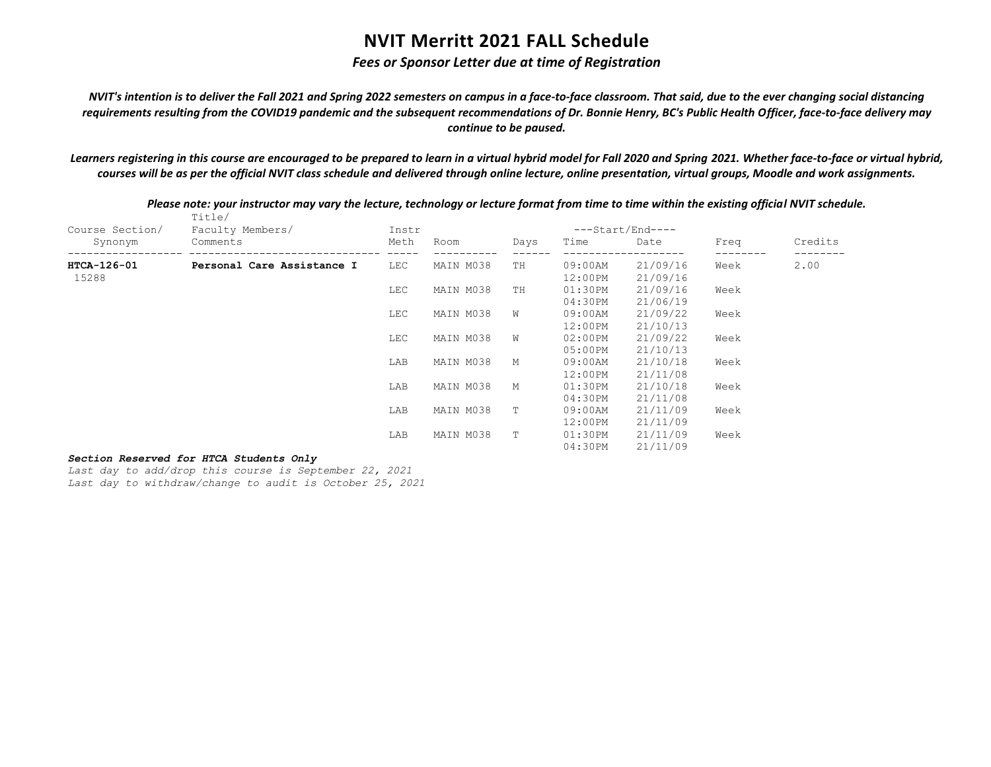## *Fees or Sponsor Letter due at time of Registration*

*NVIT's intention is to deliver the Fall 2021 and Spring 2022 semesters on campus in a face-to-face classroom. That said, due to the ever changing social distancing requirements resulting from the COVID19 pandemic and the subsequent recommendations of Dr. Bonnie Henry, BC's Public Health Officer, face-to-face delivery may continue to be paused.*

*Learners registering in this course are encouraged to be prepared to learn in a virtual hybrid model for Fall 2020 and Spring 2021. Whether face-to-face or virtual hybrid, courses will be as per the official NVIT class schedule and delivered through online lecture, online presentation, virtual groups, Moodle and work assignments.*

| Course Section/ | Title/<br>Faculty Members/ | Instr      |           |      |            | $---Start/End---$ |      |         |
|-----------------|----------------------------|------------|-----------|------|------------|-------------------|------|---------|
| Synonym         | Comments                   | Meth       | Room      | Days | Time       | Date              | Freq | Credits |
| HTCA-126-01     | Personal Care Assistance I | <b>LEC</b> | MAIN M038 | TН   | $09:00$ AM | 21/09/16          | Week | 2.00    |
| 15288           |                            |            |           |      | 12:00PM    | 21/09/16          |      |         |
|                 |                            | <b>LEC</b> | MAIN M038 | TH   | 01:30PM    | 21/09/16          | Week |         |
|                 |                            |            |           |      | 04:30PM    | 21/06/19          |      |         |
|                 |                            | <b>LEC</b> | MAIN M038 | W    | $09:00$ AM | 21/09/22          | Week |         |
|                 |                            |            |           |      | 12:00PM    | 21/10/13          |      |         |
|                 |                            | <b>LEC</b> | MAIN M038 | W    | $02:00$ PM | 21/09/22          | Week |         |
|                 |                            |            |           |      | $05:00$ PM | 21/10/13          |      |         |
|                 |                            | LAB        | MAIN M038 | М    | $09:00$ AM | 21/10/18          | Week |         |
|                 |                            |            |           |      | 12:00PM    | 21/11/08          |      |         |
|                 |                            | LAB        | MAIN M038 | М    | 01:30PM    | 21/10/18          | Week |         |
|                 |                            |            |           |      | 04:30PM    | 21/11/08          |      |         |
|                 |                            | LAB        | MAIN M038 | Т    | $09:00$ AM | 21/11/09          | Week |         |
|                 |                            |            |           |      | 12:00PM    | 21/11/09          |      |         |
|                 |                            | LAB        | MAIN M038 | T    | 01:30PM    | 21/11/09          | Week |         |
|                 |                            |            |           |      | 04:30PM    | 21/11/09          |      |         |

*Please note: your instructor may vary the lecture, technology or lecture format from time to time within the existing official NVIT schedule.*

### *Section Reserved for HTCA Students Only*

*Last day to add/drop this course is September 22, 2021 Last day to withdraw/change to audit is October 25, 2021*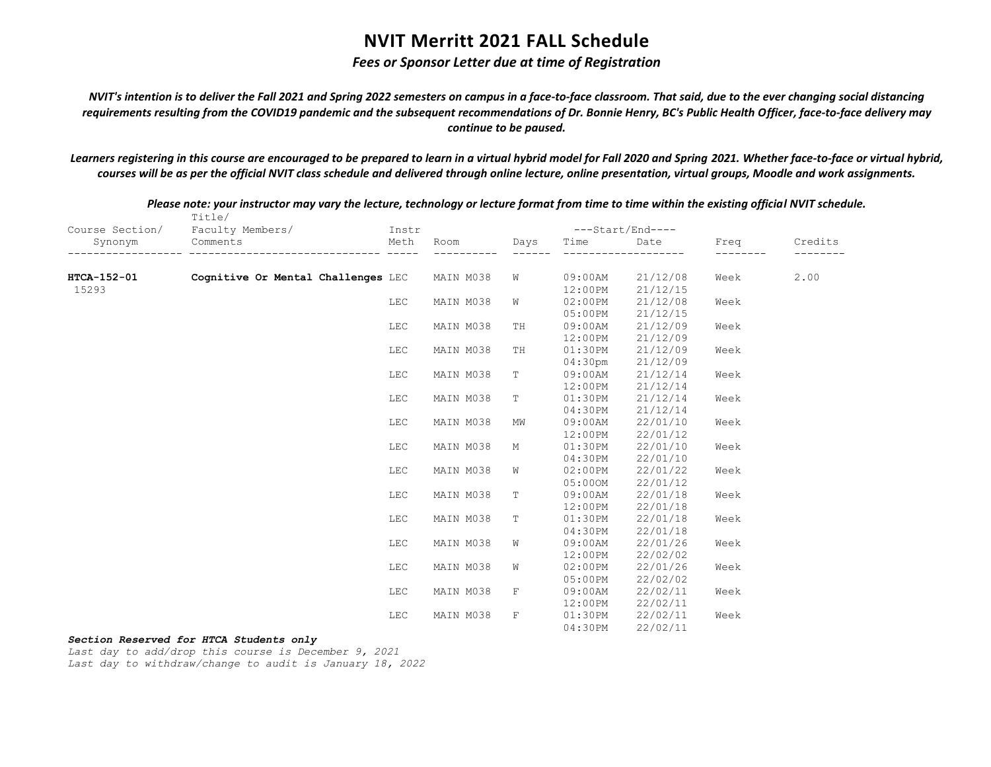## *Fees or Sponsor Letter due at time of Registration*

*NVIT's intention is to deliver the Fall 2021 and Spring 2022 semesters on campus in a face-to-face classroom. That said, due to the ever changing social distancing requirements resulting from the COVID19 pandemic and the subsequent recommendations of Dr. Bonnie Henry, BC's Public Health Officer, face-to-face delivery may continue to be paused.*

*Learners registering in this course are encouraged to be prepared to learn in a virtual hybrid model for Fall 2020 and Spring 2021. Whether face-to-face or virtual hybrid, courses will be as per the official NVIT class schedule and delivered through online lecture, online presentation, virtual groups, Moodle and work assignments.*

|                 | Title/                             |            |           |             |            |                  |      |         |
|-----------------|------------------------------------|------------|-----------|-------------|------------|------------------|------|---------|
| Course Section/ | Faculty Members/                   | Instr      |           |             |            | ---Start/End---- |      |         |
| Synonym         | Comments<br>--------- -------      | Meth       | Room      | Days        | Time       | Date             | Freq | Credits |
|                 |                                    |            |           |             |            |                  |      |         |
| HTCA-152-01     | Cognitive Or Mental Challenges LEC |            | MAIN M038 | W           | $09:00$ AM | 21/12/08         | Week | 2.00    |
| 15293           |                                    |            |           |             | 12:00PM    | 21/12/15         |      |         |
|                 |                                    | <b>LEC</b> | MAIN M038 | W           | 02:00PM    | 21/12/08         | Week |         |
|                 |                                    |            |           |             | 05:00PM    | 21/12/15         |      |         |
|                 |                                    | LEC        | MAIN M038 | TH          | 09:00AM    | 21/12/09         | Week |         |
|                 |                                    |            |           |             | 12:00PM    | 21/12/09         |      |         |
|                 |                                    | LEC        | MAIN M038 | TH          | 01:30PM    | 21/12/09         | Week |         |
|                 |                                    |            |           |             | $04:30$ pm | 21/12/09         |      |         |
|                 |                                    | LEC        | MAIN M038 | T           | 09:00AM    | 21/12/14         | Week |         |
|                 |                                    |            |           |             | 12:00PM    | 21/12/14         |      |         |
|                 |                                    | LEC        | MAIN M038 | T           | 01:30PM    | 21/12/14         | Week |         |
|                 |                                    |            |           |             | 04:30PM    | 21/12/14         |      |         |
|                 |                                    | LEC        | MAIN M038 | MW          | 09:00AM    | 22/01/10         | Week |         |
|                 |                                    |            |           |             | 12:00PM    | 22/01/12         |      |         |
|                 |                                    | LEC        | MAIN M038 | М           | 01:30PM    | 22/01/10         | Week |         |
|                 |                                    |            |           |             | 04:30PM    | 22/01/10         |      |         |
|                 |                                    | LEC        | MAIN M038 | W           | 02:00PM    | 22/01/22         | Week |         |
|                 |                                    |            |           |             | 05:000M    | 22/01/12         |      |         |
|                 |                                    | LEC        | MAIN M038 | Т           | 09:00AM    | 22/01/18         | Week |         |
|                 |                                    |            |           |             | 12:00PM    | 22/01/18         |      |         |
|                 |                                    | LEC        | MAIN M038 | $\mathbb T$ | 01:30PM    | 22/01/18         | Week |         |
|                 |                                    |            |           |             | 04:30PM    | 22/01/18         |      |         |
|                 |                                    | LEC        | MAIN M038 | W           | 09:00AM    | 22/01/26         | Week |         |
|                 |                                    |            |           |             | 12:00PM    | 22/02/02         |      |         |
|                 |                                    | LEC        | MAIN M038 | W           | 02:00PM    | 22/01/26         | Week |         |
|                 |                                    |            |           |             | 05:00PM    | 22/02/02         |      |         |
|                 |                                    | LEC        | MAIN M038 | $\mathbf F$ | 09:00AM    | 22/02/11         | Week |         |
|                 |                                    |            |           |             | 12:00PM    | 22/02/11         |      |         |
|                 |                                    | <b>LEC</b> | MAIN M038 | $\mathbf F$ | 01:30PM    | 22/02/11         | Week |         |
|                 |                                    |            |           |             | 04:30PM    | 22/02/11         |      |         |

*Please note: your instructor may vary the lecture, technology or lecture format from time to time within the existing official NVIT schedule.*

### *Section Reserved for HTCA Students only*

*Last day to add/drop this course is December 9, 2021 Last day to withdraw/change to audit is January 18, 2022*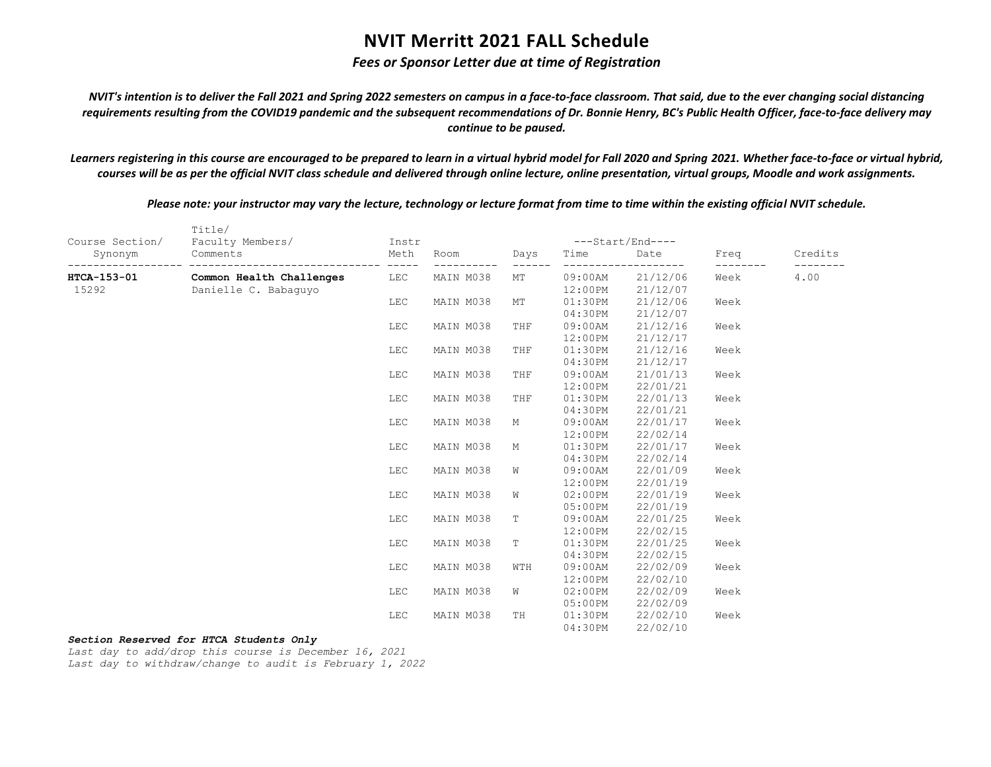## *Fees or Sponsor Letter due at time of Registration*

*NVIT's intention is to deliver the Fall 2021 and Spring 2022 semesters on campus in a face-to-face classroom. That said, due to the ever changing social distancing requirements resulting from the COVID19 pandemic and the subsequent recommendations of Dr. Bonnie Henry, BC's Public Health Officer, face-to-face delivery may continue to be paused.*

*Learners registering in this course are encouraged to be prepared to learn in a virtual hybrid model for Fall 2020 and Spring 2021. Whether face-to-face or virtual hybrid, courses will be as per the official NVIT class schedule and delivered through online lecture, online presentation, virtual groups, Moodle and work assignments.*

*Please note: your instructor may vary the lecture, technology or lecture format from time to time within the existing official NVIT schedule.*

|                 | Title/                   |       |           |             |            |                             |      |         |
|-----------------|--------------------------|-------|-----------|-------------|------------|-----------------------------|------|---------|
| Course Section/ | Faculty Members/         | Instr |           |             |            | ---Start/End----            |      |         |
| Synonym         | Comments                 | Meth  | Room      | Days        | Time       | Date<br>$\qquad \qquad - -$ | Freq | Credits |
| HTCA-153-01     | Common Health Challenges | LEC   | MAIN M038 | МT          | 09:00AM    | 21/12/06                    | Week | 4.00    |
| 15292           | Danielle C. Babaquyo     |       |           |             | 12:00PM    | 21/12/07                    |      |         |
|                 |                          | LEC   | MAIN M038 | МT          | 01:30PM    | 21/12/06                    | Week |         |
|                 |                          |       |           |             | 04:30PM    | 21/12/07                    |      |         |
|                 |                          | LEC   | MAIN M038 | THF         | $09:00$ AM | 21/12/16                    | Week |         |
|                 |                          |       |           |             | 12:00PM    | 21/12/17                    |      |         |
|                 |                          | LEC   | MAIN M038 | THF         | 01:30PM    | 21/12/16                    | Week |         |
|                 |                          |       |           |             | 04:30PM    | 21/12/17                    |      |         |
|                 |                          | LEC   | MAIN M038 | THF         | $09:00$ AM | 21/01/13                    | Week |         |
|                 |                          |       |           |             | 12:00PM    | 22/01/21                    |      |         |
|                 |                          | LEC   | MAIN M038 | THF         | 01:30PM    | 22/01/13                    | Week |         |
|                 |                          |       |           |             | 04:30PM    | 22/01/21                    |      |         |
|                 |                          | LEC   | MAIN M038 | М           | $09:00$ AM | 22/01/17                    | Week |         |
|                 |                          |       |           |             | 12:00PM    | 22/02/14                    |      |         |
|                 |                          | LEC   | MAIN M038 | М           | 01:30PM    | 22/01/17                    | Week |         |
|                 |                          |       |           |             | 04:30PM    | 22/02/14                    |      |         |
|                 |                          | LEC   | MAIN M038 | W           | $09:00$ AM | 22/01/09                    | Week |         |
|                 |                          |       |           |             | 12:00PM    | 22/01/19                    |      |         |
|                 |                          | LEC   | MAIN M038 | W           | $02:00$ PM | 22/01/19                    | Week |         |
|                 |                          |       |           |             | 05:00PM    | 22/01/19                    |      |         |
|                 |                          | LEC   | MAIN M038 | $\mathbb T$ | $09:00$ AM | 22/01/25                    | Week |         |
|                 |                          |       |           |             | 12:00PM    | 22/02/15                    |      |         |
|                 |                          | LEC   | MAIN M038 | $\mathbb T$ | 01:30PM    | 22/01/25                    | Week |         |
|                 |                          |       |           |             | 04:30PM    | 22/02/15                    |      |         |
|                 |                          | LEC   | MAIN M038 | WTH         | $09:00$ AM | 22/02/09                    | Week |         |
|                 |                          |       |           |             | 12:00PM    | 22/02/10                    |      |         |
|                 |                          | LEC   | MAIN M038 | W           | 02:00PM    | 22/02/09                    | Week |         |
|                 |                          |       |           |             | $05:00$ PM | 22/02/09                    |      |         |
|                 |                          | LEC   | MAIN M038 | TH          | $01:30$ PM | 22/02/10                    | Week |         |
|                 |                          |       |           |             | 04:30PM    | 22/02/10                    |      |         |

### *Section Reserved for HTCA Students Only*

*Last day to add/drop this course is December 16, 2021 Last day to withdraw/change to audit is February 1, 2022*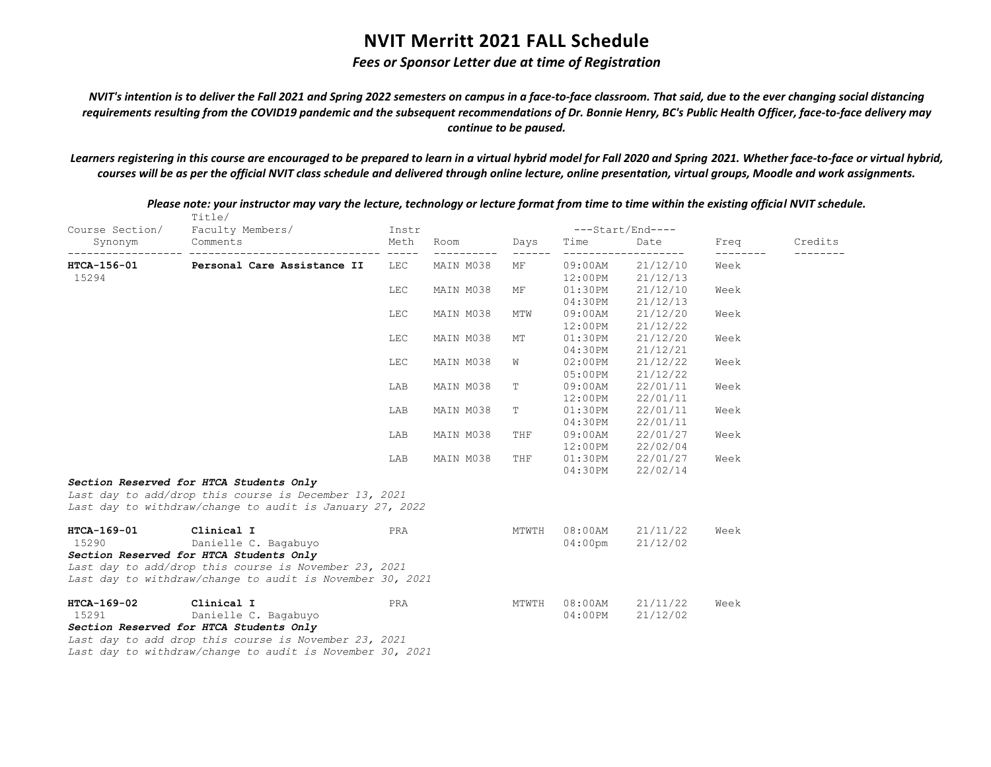## *Fees or Sponsor Letter due at time of Registration*

*NVIT's intention is to deliver the Fall 2021 and Spring 2022 semesters on campus in a face-to-face classroom. That said, due to the ever changing social distancing requirements resulting from the COVID19 pandemic and the subsequent recommendations of Dr. Bonnie Henry, BC's Public Health Officer, face-to-face delivery may continue to be paused.*

*Learners registering in this course are encouraged to be prepared to learn in a virtual hybrid model for Fall 2020 and Spring 2021. Whether face-to-face or virtual hybrid, courses will be as per the official NVIT class schedule and delivered through online lecture, online presentation, virtual groups, Moodle and work assignments.*

|                                          | Title/                                                    |                             |           |       |            |                  |      |         |
|------------------------------------------|-----------------------------------------------------------|-----------------------------|-----------|-------|------------|------------------|------|---------|
| Course Section/                          | Faculty Members/                                          | Instr                       |           |       |            | ---Start/End---- |      |         |
| Synonym<br>------------------ ---------- | Comments                                                  | Meth<br>------------- ----- | Room      | Days  | Time       | Date             | Freq | Credits |
| HTCA-156-01                              | Personal Care Assistance II                               | <b>LEC</b>                  | MAIN M038 | МF    | $09:00$ AM | 21/12/10         | Week |         |
| 15294                                    |                                                           |                             |           |       | 12:00PM    | 21/12/13         |      |         |
|                                          |                                                           | LEC                         | MAIN M038 | MF    | 01:30PM    | 21/12/10         | Week |         |
|                                          |                                                           |                             |           |       | 04:30PM    | 21/12/13         |      |         |
|                                          |                                                           | LEC                         | MAIN M038 | MTW   | 09:00AM    | 21/12/20         | Week |         |
|                                          |                                                           |                             |           |       | 12:00PM    | 21/12/22         |      |         |
|                                          |                                                           | LEC                         | MAIN M038 | MT    | 01:30PM    | 21/12/20         | Week |         |
|                                          |                                                           |                             |           |       | 04:30PM    | 21/12/21         |      |         |
|                                          |                                                           | LEC                         | MAIN M038 | W     | 02:00PM    | 21/12/22         | Week |         |
|                                          |                                                           |                             |           |       | 05:00PM    | 21/12/22         |      |         |
|                                          |                                                           | LAB                         | MAIN M038 | Т     | 09:00AM    | 22/01/11         | Week |         |
|                                          |                                                           |                             |           |       | 12:00PM    | 22/01/11         |      |         |
|                                          |                                                           | LAB                         | MAIN M038 | Т     | 01:30PM    | 22/01/11         | Week |         |
|                                          |                                                           |                             |           |       | 04:30PM    | 22/01/11         |      |         |
|                                          |                                                           | LAB                         | MAIN M038 | THF   | $09:00$ AM | 22/01/27         | Week |         |
|                                          |                                                           |                             |           |       | $12:00$ PM | 22/02/04         |      |         |
|                                          |                                                           | LAB                         | MAIN M038 | THF   | 01:30PM    | 22/01/27         | Week |         |
|                                          |                                                           |                             |           |       | 04:30PM    | 22/02/14         |      |         |
|                                          | Section Reserved for HTCA Students Only                   |                             |           |       |            |                  |      |         |
|                                          | Last day to add/drop this course is December 13, 2021     |                             |           |       |            |                  |      |         |
|                                          | Last day to withdraw/change to audit is January 27, 2022  |                             |           |       |            |                  |      |         |
| HTCA-169-01                              | Clinical I                                                | PRA                         |           | MTWTH | $08:00$ AM | 21/11/22         | Week |         |
| 15290                                    | Danielle C. Bagabuyo                                      |                             |           |       | $04:00$ pm | 21/12/02         |      |         |
|                                          | Section Reserved for HTCA Students Only                   |                             |           |       |            |                  |      |         |
|                                          | Last day to add/drop this course is November 23, 2021     |                             |           |       |            |                  |      |         |
|                                          | Last day to withdraw/change to audit is November 30, 2021 |                             |           |       |            |                  |      |         |
| HTCA-169-02                              | Clinical I                                                | PRA                         |           | MTWTH | $08:00$ AM | 21/11/22         | Week |         |
| 15291                                    | Danielle C. Bagabuyo                                      |                             |           |       | $04:00$ PM | 21/12/02         |      |         |
|                                          | Section Reserved for HTCA Students Only                   |                             |           |       |            |                  |      |         |
|                                          | Last day to add drop this course is November 23, 2021     |                             |           |       |            |                  |      |         |
|                                          | Last day to withdraw/change to audit is November 30, 2021 |                             |           |       |            |                  |      |         |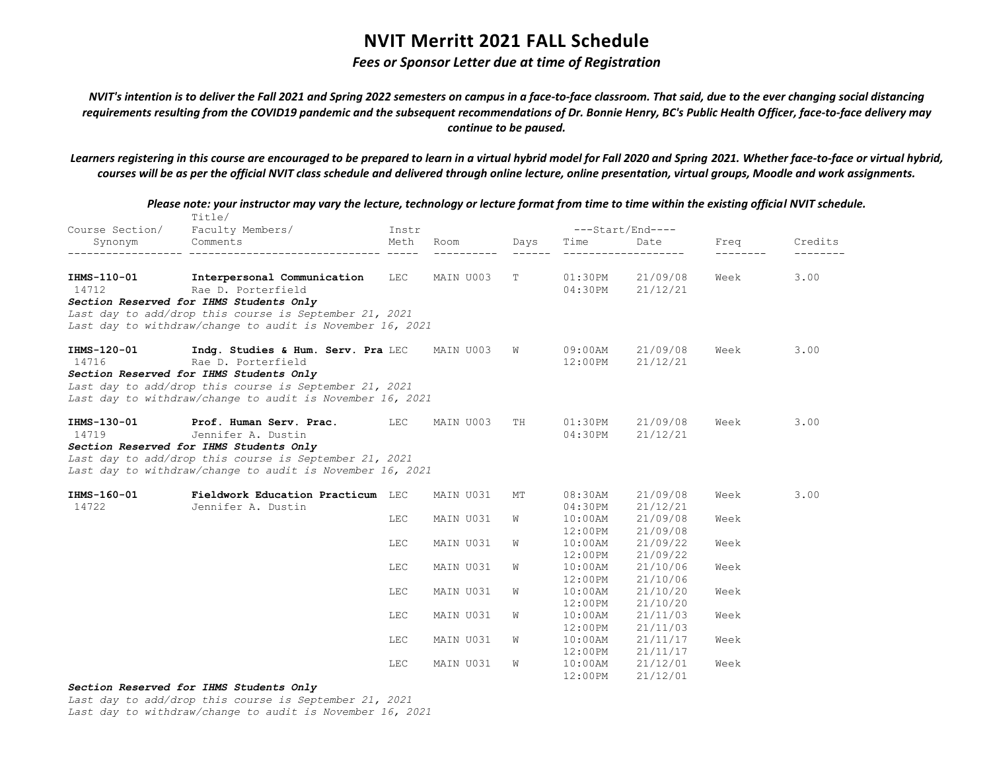## *Fees or Sponsor Letter due at time of Registration*

*NVIT's intention is to deliver the Fall 2021 and Spring 2022 semesters on campus in a face-to-face classroom. That said, due to the ever changing social distancing requirements resulting from the COVID19 pandemic and the subsequent recommendations of Dr. Bonnie Henry, BC's Public Health Officer, face-to-face delivery may continue to be paused.*

*Learners registering in this course are encouraged to be prepared to learn in a virtual hybrid model for Fall 2020 and Spring 2021. Whether face-to-face or virtual hybrid, courses will be as per the official NVIT class schedule and delivered through online lecture, online presentation, virtual groups, Moodle and work assignments.*

|                            | Title/                                                    |               |           |      |            |                           |      |         |
|----------------------------|-----------------------------------------------------------|---------------|-----------|------|------------|---------------------------|------|---------|
| Course Section/<br>Synonym | Faculty Members/<br>Comments                              | Instr<br>Meth | Room      | Days | Time       | $---Start/End---$<br>Date | Freq | Credits |
|                            |                                                           |               |           |      |            |                           |      |         |
| IHMS-110-01                | Interpersonal Communication LEC MAIN U003                 |               |           | T    | 01:30PM    | 21/09/08                  | Week | 3.00    |
| 14712                      | Rae D. Porterfield                                        |               |           |      | 04:30PM    | 21/12/21                  |      |         |
|                            | Section Reserved for IHMS Students Only                   |               |           |      |            |                           |      |         |
|                            | Last day to add/drop this course is September 21, 2021    |               |           |      |            |                           |      |         |
|                            | Last day to withdraw/change to audit is November 16, 2021 |               |           |      |            |                           |      |         |
| IHMS-120-01                | Indq. Studies & Hum. Serv. Pra LEC                        |               | MAIN U003 | W    | 09:00AM    | 21/09/08                  | Week | 3.00    |
| 14716                      | Rae D. Porterfield                                        |               |           |      | 12:00PM    | 21/12/21                  |      |         |
|                            | Section Reserved for IHMS Students Only                   |               |           |      |            |                           |      |         |
|                            | Last day to add/drop this course is September 21, 2021    |               |           |      |            |                           |      |         |
|                            | Last day to withdraw/change to audit is November 16, 2021 |               |           |      |            |                           |      |         |
| IHMS-130-01                | <b>Prof. Human Serv. Prac.</b> LEC                        |               | MAIN U003 | TH   | $01:30$ PM | 21/09/08                  | Week | 3.00    |
| 14719                      | Jennifer A. Dustin                                        |               |           |      | 04:30PM    | 21/12/21                  |      |         |
|                            | Section Reserved for IHMS Students Only                   |               |           |      |            |                           |      |         |
|                            | Last day to add/drop this course is September 21, 2021    |               |           |      |            |                           |      |         |
|                            | Last day to withdraw/change to audit is November 16, 2021 |               |           |      |            |                           |      |         |
| IHMS-160-01                | Fieldwork Education Practicum LEC                         |               | MAIN U031 | МT   | $08:30$ AM | 21/09/08                  | Week | 3.00    |
| 14722                      | Jennifer A. Dustin                                        |               |           |      | 04:30PM    | 21/12/21                  |      |         |
|                            |                                                           | <b>LEC</b>    | MAIN U031 | W    | $10:00$ AM | 21/09/08                  | Week |         |
|                            |                                                           |               |           |      | $12:00$ PM | 21/09/08                  |      |         |
|                            |                                                           | LEC           | MAIN U031 | W    | $10:00$ AM | 21/09/22                  | Week |         |
|                            |                                                           |               |           |      | 12:00PM    | 21/09/22                  |      |         |
|                            |                                                           | LEC           | MAIN U031 | W    | $10:00$ AM | 21/10/06                  | Week |         |
|                            |                                                           |               |           |      | 12:00PM    | 21/10/06                  |      |         |
|                            |                                                           | LEC           | MAIN U031 | W    | $10:00$ AM | 21/10/20                  | Week |         |
|                            |                                                           |               |           |      | $12:00$ PM | 21/10/20                  |      |         |
|                            |                                                           | <b>LEC</b>    | MAIN U031 | W    | $10:00$ AM | 21/11/03                  | Week |         |
|                            |                                                           |               |           |      | $12:00$ PM | 21/11/03                  |      |         |
|                            |                                                           | LEC           | MAIN U031 | W    | $10:00$ AM | 21/11/17                  | Week |         |
|                            |                                                           |               |           |      | $12:00$ PM | 21/11/17                  |      |         |
|                            |                                                           | LEC           | MAIN U031 | W    | $10:00$ AM | 21/12/01                  | Week |         |
|                            |                                                           |               |           |      | 12:00PM    | 21/12/01                  |      |         |

*Please note: your instructor may vary the lecture, technology or lecture format from time to time within the existing official NVIT schedule.*

### *Section Reserved for IHMS Students Only*

*Last day to add/drop this course is September 21, 2021*

*Last day to withdraw/change to audit is November 16, 2021*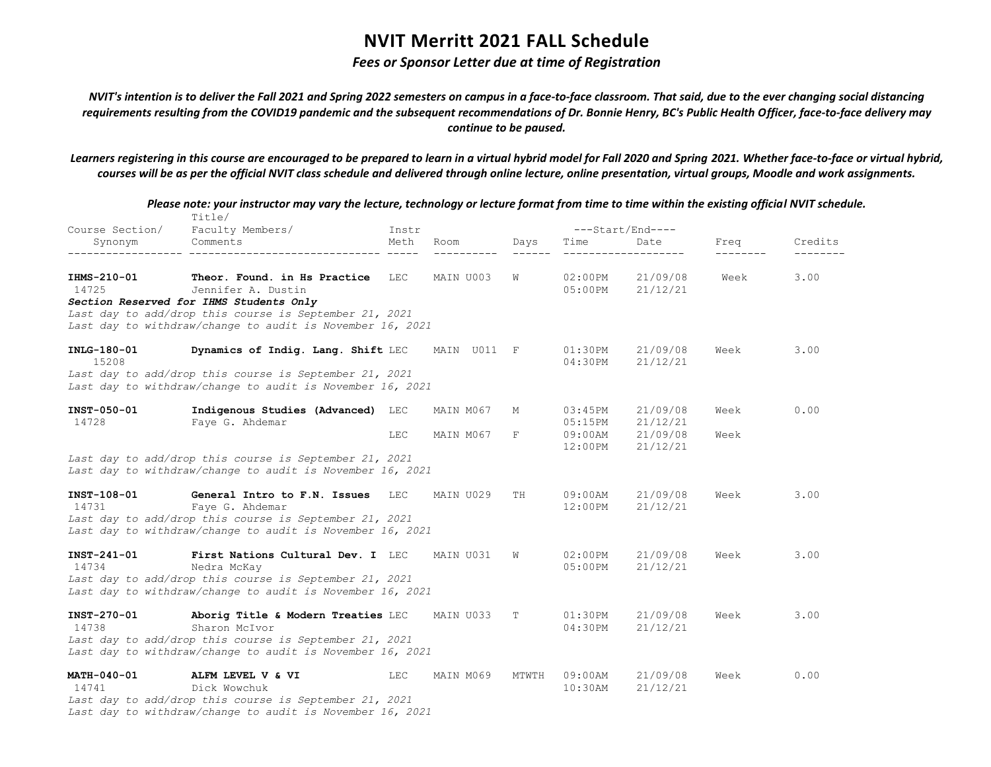## *Fees or Sponsor Letter due at time of Registration*

*NVIT's intention is to deliver the Fall 2021 and Spring 2022 semesters on campus in a face-to-face classroom. That said, due to the ever changing social distancing requirements resulting from the COVID19 pandemic and the subsequent recommendations of Dr. Bonnie Henry, BC's Public Health Officer, face-to-face delivery may continue to be paused.*

*Learners registering in this course are encouraged to be prepared to learn in a virtual hybrid model for Fall 2020 and Spring 2021. Whether face-to-face or virtual hybrid, courses will be as per the official NVIT class schedule and delivered through online lecture, online presentation, virtual groups, Moodle and work assignments.*

|                             | Please note: your instructor may vary the lecture, technology or lecture format from time to time within the existing official NVIT schedule.<br>Title/                    |            |             |       |                               |                      |      |         |
|-----------------------------|----------------------------------------------------------------------------------------------------------------------------------------------------------------------------|------------|-------------|-------|-------------------------------|----------------------|------|---------|
| Course Section/             | Faculty Members/                                                                                                                                                           | Instr      |             |       |                               | ---Start/End----     |      |         |
| Synonym                     | Comments                                                                                                                                                                   | Meth       | Room        | Days  | Time                          | Date                 | Freq | Credits |
| IHMS-210-01<br>14725        | Theor. Found. in Hs Practice<br>Jennifer A. Dustin                                                                                                                         | LEC        | MAIN U003   | W     | 02:00PM<br>$05:00$ PM         | 21/09/08<br>21/12/21 | Week | 3.00    |
|                             | Section Reserved for IHMS Students Only<br>Last day to add/drop this course is September 21, 2021<br>Last day to withdraw/change to audit is November 16, 2021             |            |             |       |                               |                      |      |         |
| INLG-180-01<br>15208        | Dynamics of Indig. Lang. Shift LEC                                                                                                                                         |            | MAIN U011 F |       | $01:30\mathrm{PM}$<br>04:30PM | 21/09/08<br>21/12/21 | Week | 3.00    |
|                             | Last day to add/drop this course is September 21, 2021<br>Last day to withdraw/change to audit is November 16, 2021                                                        |            |             |       |                               |                      |      |         |
| INST-050-01<br>14728        | Indigenous Studies (Advanced) LEC<br>Faye G. Ahdemar                                                                                                                       |            | MAIN M067   | М     | 03:45PM<br>05:15PM            | 21/09/08<br>21/12/21 | Week | 0.00    |
|                             |                                                                                                                                                                            | LEC        | MAIN M067   | F     | $09:00$ AM<br>$12:00$ PM      | 21/09/08<br>21/12/21 | Week |         |
|                             | Last day to add/drop this course is September 21, 2021<br>Last day to withdraw/change to audit is November 16, 2021                                                        |            |             |       |                               |                      |      |         |
| INST-108-01<br>14731        | General Intro to F.N. Issues<br>Faye G. Ahdemar<br>Last day to add/drop this course is September 21, 2021<br>Last day to withdraw/change to audit is November 16, 2021     | LEC        | MAIN U029   | TH    | 09:00AM<br>12:00PM            | 21/09/08<br>21/12/21 | Week | 3.00    |
| INST-241-01<br>14734        | First Nations Cultural Dev. I LEC<br>Nedra McKay<br>Last day to add/drop this course is September 21, 2021<br>Last day to withdraw/change to audit is November 16, 2021    |            | MAIN U031   | W     | $02:00$ PM<br>05:00PM         | 21/09/08<br>21/12/21 | Week | 3.00    |
| INST-270-01<br>14738        | Aborig Title & Modern Treaties LEC<br>Sharon McIvor<br>Last day to add/drop this course is September 21, 2021<br>Last day to withdraw/change to audit is November 16, 2021 |            | MAIN U033   | Т     | 01:30PM<br>04:30PM            | 21/09/08<br>21/12/21 | Week | 3.00    |
| <b>MATH-040-01</b><br>14741 | ALFM LEVEL V & VI<br>Dick Wowchuk<br>Last day to add/drop this course is September 21, 2021<br>Last day to withdraw/change to audit is November 16, 2021                   | <b>LEC</b> | MAIN M069   | MTWTH | $09:00$ AM<br>$10:30$ AM      | 21/09/08<br>21/12/21 | Week | 0.00    |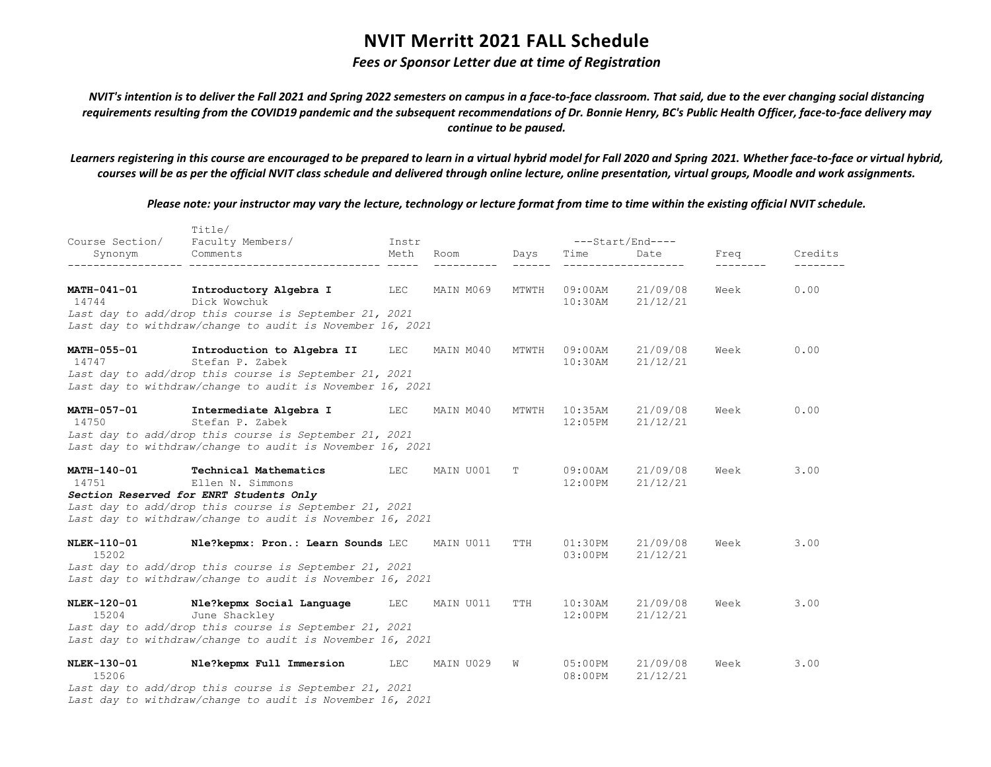## *Fees or Sponsor Letter due at time of Registration*

*NVIT's intention is to deliver the Fall 2021 and Spring 2022 semesters on campus in a face-to-face classroom. That said, due to the ever changing social distancing requirements resulting from the COVID19 pandemic and the subsequent recommendations of Dr. Bonnie Henry, BC's Public Health Officer, face-to-face delivery may continue to be paused.*

*Learners registering in this course are encouraged to be prepared to learn in a virtual hybrid model for Fall 2020 and Spring 2021. Whether face-to-face or virtual hybrid, courses will be as per the official NVIT class schedule and delivered through online lecture, online presentation, virtual groups, Moodle and work assignments.*

|                             | Title/                                                                                                                                                                                                      |       |           |       |                          |                      |      |         |
|-----------------------------|-------------------------------------------------------------------------------------------------------------------------------------------------------------------------------------------------------------|-------|-----------|-------|--------------------------|----------------------|------|---------|
| Course Section/             | Faculty Members/                                                                                                                                                                                            | Instr |           |       | ---Start/End----         |                      |      |         |
| Synonym                     | Comments                                                                                                                                                                                                    | Meth  | Room      | Days  | Time                     | Date                 | Freq | Credits |
| MATH-041-01<br>14744        | Introductory Algebra I<br>Dick Wowchuk<br>Last day to add/drop this course is September 21, 2021<br>Last day to withdraw/change to audit is November 16, 2021                                               | LEC   | MAIN M069 | MTWTH | $09:00$ AM<br>10:30AM    | 21/09/08<br>21/12/21 | Week | 0.00    |
| <b>MATH-055-01</b><br>14747 | Introduction to Algebra II<br>Stefan P. Zabek<br>Last day to add/drop this course is September 21, 2021<br>Last day to withdraw/change to audit is November 16, 2021                                        | LEC   | MAIN M040 | MTWTH | 09:00AM<br>$10:30$ AM    | 21/09/08<br>21/12/21 | Week | 0.00    |
| <b>MATH-057-01</b><br>14750 | Intermediate Algebra I<br>Stefan P. Zabek<br>Last day to add/drop this course is September 21, 2021<br>Last day to withdraw/change to audit is November 16, 2021                                            | LEC   | MAIN M040 | MTWTH | $10:35$ AM<br>12:05PM    | 21/09/08<br>21/12/21 | Week | 0.00    |
| MATH-140-01<br>14751        | Technical Mathematics<br>Ellen N. Simmons<br>Section Reserved for ENRT Students Only<br>Last day to add/drop this course is September 21, 2021<br>Last day to withdraw/change to audit is November 16, 2021 | LEC   | MAIN U001 | T     | $09:00$ AM<br>$12:00$ PM | 21/09/08<br>21/12/21 | Week | 3.00    |
| NLEK-110-01<br>15202        | Nle?kepmx: Pron.: Learn Sounds LEC<br>Last day to add/drop this course is September 21, 2021<br>Last day to withdraw/change to audit is November 16, 2021                                                   |       | MAIN U011 | TTH   | 01:30PM<br>03:00PM       | 21/09/08<br>21/12/21 | Week | 3.00    |
| <b>NLEK-120-01</b><br>15204 | Nle?kepmx Social Language<br>June Shackley<br>Last day to add/drop this course is September 21, 2021<br>Last day to withdraw/change to audit is November 16, 2021                                           | LEC   | MAIN U011 | TTH   | $10:30$ AM<br>$12:00$ PM | 21/09/08<br>21/12/21 | Week | 3.00    |
| NLEK-130-01<br>15206        | Nle?kepmx Full Immersion<br>Last day to add/drop this course is September 21, 2021<br>Last day to withdraw/change to audit is November 16, 2021                                                             | LEC   | MAIN U029 | W     | $05:00$ PM<br>08:00PM    | 21/09/08<br>21/12/21 | Week | 3.00    |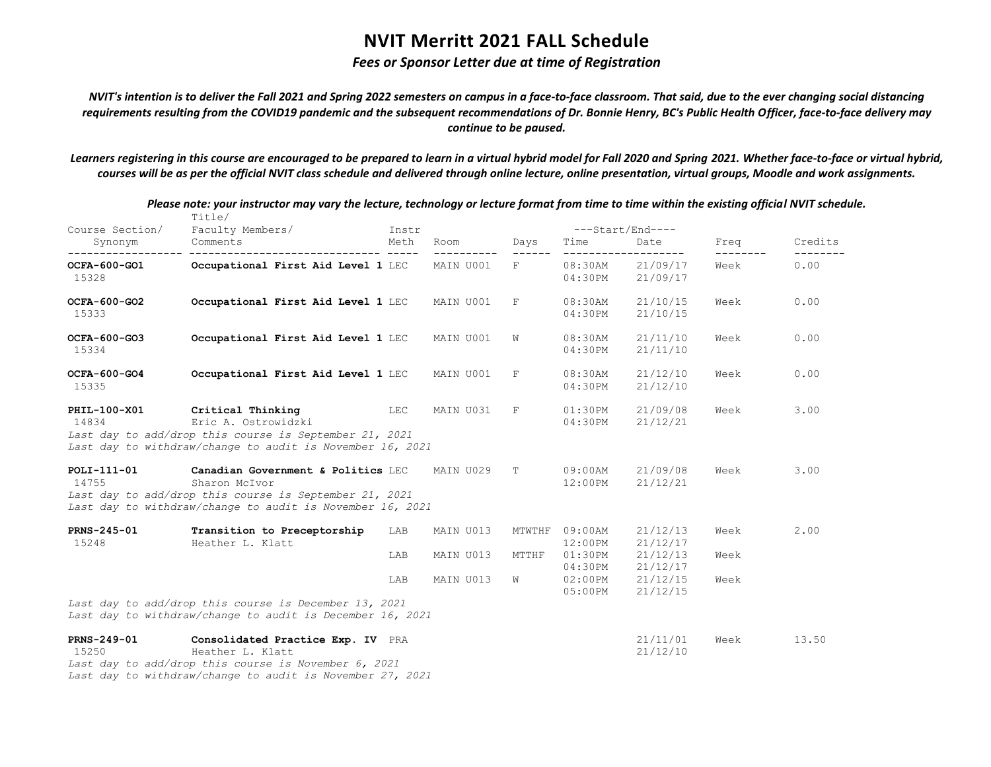## *Fees or Sponsor Letter due at time of Registration*

*NVIT's intention is to deliver the Fall 2021 and Spring 2022 semesters on campus in a face-to-face classroom. That said, due to the ever changing social distancing requirements resulting from the COVID19 pandemic and the subsequent recommendations of Dr. Bonnie Henry, BC's Public Health Officer, face-to-face delivery may continue to be paused.*

*Learners registering in this course are encouraged to be prepared to learn in a virtual hybrid model for Fall 2020 and Spring 2021. Whether face-to-face or virtual hybrid, courses will be as per the official NVIT class schedule and delivered through online lecture, online presentation, virtual groups, Moodle and work assignments.*

|                             | Title/                                                                                                                                                                     |               |                        |                 |                                                | $---Start/End---$                            |                           |                  |
|-----------------------------|----------------------------------------------------------------------------------------------------------------------------------------------------------------------------|---------------|------------------------|-----------------|------------------------------------------------|----------------------------------------------|---------------------------|------------------|
| Course Section/<br>Synonym  | Faculty Members/<br>Comments                                                                                                                                               | Instr<br>Meth | Room                   | Days            | Time                                           | Date                                         | Freq<br>$- - - - - - - -$ | Credits          |
| OCFA-600-GO1<br>15328       | Occupational First Aid Level 1 LEC                                                                                                                                         |               | MAIN U001              | F               | $08:30$ AM<br>04:30PM                          | ___________________<br>21/09/17<br>21/09/17  | Week                      | --------<br>0.00 |
| OCFA-600-GO2<br>15333       | Occupational First Aid Level 1 LEC                                                                                                                                         |               | MAIN U001              | F               | $08:30$ AM<br>04:30PM                          | 21/10/15<br>21/10/15                         | Week                      | 0.00             |
| OCFA-600-GO3<br>15334       | Occupational First Aid Level 1 LEC                                                                                                                                         |               | MAIN U001              | W               | $08:30$ AM<br>04:30PM                          | 21/11/10<br>21/11/10                         | Week                      | 0.00             |
| OCFA-600-GO4<br>15335       | Occupational First Aid Level 1 LEC                                                                                                                                         |               | MAIN U001              | F               | $08:30$ AM<br>04:30PM                          | 21/12/10<br>21/12/10                         | Week                      | 0.00             |
| PHIL-100-X01<br>14834       | Critical Thinking<br>Eric A. Ostrowidzki<br>Last day to add/drop this course is September 21, 2021<br>Last day to withdraw/change to audit is November 16, 2021            | LEC           | MAIN U031              | F               | 01:30PM<br>04:30PM                             | 21/09/08<br>21/12/21                         | Week                      | 3.00             |
| POLI-111-01<br>14755        | Canadian Government & Politics LEC<br>Sharon McIvor<br>Last day to add/drop this course is September 21, 2021<br>Last day to withdraw/change to audit is November 16, 2021 |               | MAIN U029              | T.              | $09:00$ AM<br>$12:00$ PM                       | 21/09/08<br>21/12/21                         | Week                      | 3.00             |
| <b>PRNS-245-01</b><br>15248 | Transition to Preceptorship<br>Heather L. Klatt                                                                                                                            | LAB<br>LAB    | MAIN U013<br>MAIN U013 | MTWTHF<br>MTTHF | 09:00AM<br>$12:00$ PM<br>$01:30$ PM<br>04:30PM | 21/12/13<br>21/12/17<br>21/12/13<br>21/12/17 | Week<br>Week              | 2.00             |
|                             | Last day to add/drop this course is December 13, 2021<br>Last day to withdraw/change to audit is December 16, 2021                                                         | LAB           | MAIN U013              | W               | $02:00$ PM<br>$05:00$ PM                       | 21/12/15<br>21/12/15                         | Week                      |                  |
| PRNS-249-01<br>15250        | Consolidated Practice Exp. IV PRA<br>Heather L. Klatt<br>Last day to add/drop this course is November 6, 2021                                                              |               |                        |                 |                                                | 21/11/01<br>21/12/10                         | Week                      | 13.50            |

*Please note: your instructor may vary the lecture, technology or lecture format from time to time within the existing official NVIT schedule.*

*Last day to withdraw/change to audit is November 27, 2021*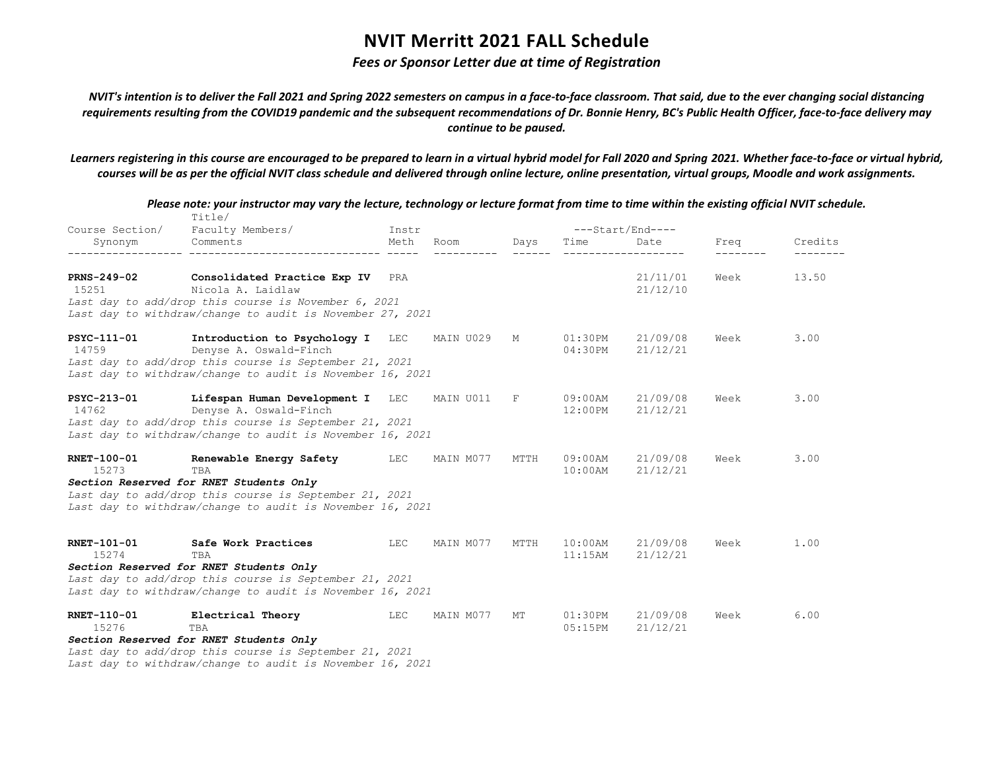## *Fees or Sponsor Letter due at time of Registration*

*NVIT's intention is to deliver the Fall 2021 and Spring 2022 semesters on campus in a face-to-face classroom. That said, due to the ever changing social distancing requirements resulting from the COVID19 pandemic and the subsequent recommendations of Dr. Bonnie Henry, BC's Public Health Officer, face-to-face delivery may continue to be paused.*

*Learners registering in this course are encouraged to be prepared to learn in a virtual hybrid model for Fall 2020 and Spring 2021. Whether face-to-face or virtual hybrid, courses will be as per the official NVIT class schedule and delivered through online lecture, online presentation, virtual groups, Moodle and work assignments.*

|                             | Please note: your instructor may vary the lecture, technology or lecture format from time to time within the existing official NVIT schedule.<br>Title/                                          |            |           |              |                          |                      |      |         |
|-----------------------------|--------------------------------------------------------------------------------------------------------------------------------------------------------------------------------------------------|------------|-----------|--------------|--------------------------|----------------------|------|---------|
| Course Section/             | Faculty Members/                                                                                                                                                                                 | Instr      |           |              |                          | ---Start/End----     |      |         |
| Synonym                     | Comments                                                                                                                                                                                         | Meth       | Room      | Days         | Time                     | Date                 | Freq | Credits |
| PRNS-249-02<br>15251        | Consolidated Practice Exp IV PRA<br>Nicola A. Laidlaw                                                                                                                                            |            |           |              |                          | 21/11/01<br>21/12/10 | Week | 13.50   |
|                             | Last day to add/drop this course is November 6, 2021<br>Last day to withdraw/change to audit is November 27, 2021                                                                                |            |           |              |                          |                      |      |         |
| PSYC-111-01<br>14759        | Introduction to Psychology I LEC<br>Denyse A. Oswald-Finch<br>Last day to add/drop this course is September 21, 2021<br>Last day to withdraw/change to audit is November 16, 2021                |            | MAIN U029 | М            | 01:30PM<br>04:30PM       | 21/09/08<br>21/12/21 | Week | 3.00    |
| PSYC-213-01<br>14762        | Lifespan Human Development I LEC<br>Denyse A. Oswald-Finch<br>Last day to add/drop this course is September 21, 2021<br>Last day to withdraw/change to audit is November 16, 2021                |            | MAIN U011 | $\mathbb{F}$ | 09:00AM<br>$12:00$ PM    | 21/09/08<br>21/12/21 | Week | 3.00    |
| <b>RNET-100-01</b><br>15273 | Renewable Energy Safety<br>TBA<br>Section Reserved for RNET Students Only<br>Last day to add/drop this course is September 21, 2021<br>Last day to withdraw/change to audit is November 16, 2021 | LEC        | MAIN M077 | MTTH         | $09:00$ AM<br>$10:00$ AM | 21/09/08<br>21/12/21 | Week | 3.00    |
| RNET-101-01<br>15274        | Safe Work Practices<br>TBA<br>Section Reserved for RNET Students Only<br>Last day to add/drop this course is September 21, 2021                                                                  | <b>LEC</b> | MAIN M077 | MTTH         | $10:00$ AM<br>$11:15$ AM | 21/09/08<br>21/12/21 | Week | 1.00    |
|                             | Last day to withdraw/change to audit is November 16, 2021                                                                                                                                        |            |           |              |                          |                      |      |         |
| RNET-110-01<br>15276        | Electrical Theory<br>TBA<br>Section Reserved for RNET Students Only                                                                                                                              | LEC        | MAIN M077 | МT           | 01:30PM<br>05:15PM       | 21/09/08<br>21/12/21 | Week | 6.00    |
|                             | Last day to add/drop this course is September 21, 2021<br>Last day to withdraw/change to audit is November 16, 2021                                                                              |            |           |              |                          |                      |      |         |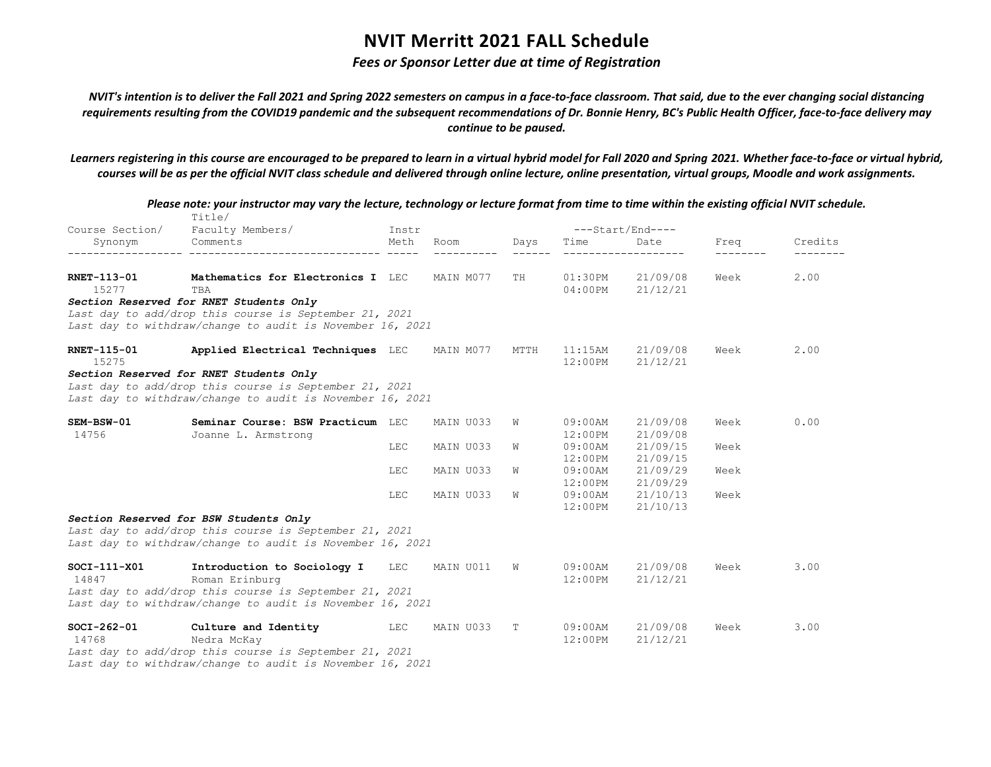## *Fees or Sponsor Letter due at time of Registration*

*NVIT's intention is to deliver the Fall 2021 and Spring 2022 semesters on campus in a face-to-face classroom. That said, due to the ever changing social distancing requirements resulting from the COVID19 pandemic and the subsequent recommendations of Dr. Bonnie Henry, BC's Public Health Officer, face-to-face delivery may continue to be paused.*

*Learners registering in this course are encouraged to be prepared to learn in a virtual hybrid model for Fall 2020 and Spring 2021. Whether face-to-face or virtual hybrid, courses will be as per the official NVIT class schedule and delivered through online lecture, online presentation, virtual groups, Moodle and work assignments.*

|                    | Please note: your instructor may vary the lecture, technology or lecture format from time to time within the existing official NVIT schedule.<br>Title/ |            |           |      |            |                  |      |         |
|--------------------|---------------------------------------------------------------------------------------------------------------------------------------------------------|------------|-----------|------|------------|------------------|------|---------|
| Course Section/    | Faculty Members/                                                                                                                                        | Instr      |           |      |            | ---Start/End---- |      |         |
| Synonym            | Comments                                                                                                                                                | Meth       | Room      | Days | Time       | Date             | Freq | Credits |
| <b>RNET-113-01</b> | Mathematics for Electronics I LEC                                                                                                                       |            | MAIN M077 | TH   | $01:30$ PM | 21/09/08         | Week | 2.00    |
| 15277              | TBA                                                                                                                                                     |            |           |      | $04:00$ PM | 21/12/21         |      |         |
|                    | Section Reserved for RNET Students Only                                                                                                                 |            |           |      |            |                  |      |         |
|                    | Last day to add/drop this course is September 21, 2021                                                                                                  |            |           |      |            |                  |      |         |
|                    | Last day to withdraw/change to audit is November 16, 2021                                                                                               |            |           |      |            |                  |      |         |
| <b>RNET-115-01</b> | Applied Electrical Techniques LEC                                                                                                                       |            | MAIN M077 | MTTH | 11:15AM    | 21/09/08         | Week | 2.00    |
| 15275              |                                                                                                                                                         |            |           |      | 12:00PM    | 21/12/21         |      |         |
|                    | Section Reserved for RNET Students Only                                                                                                                 |            |           |      |            |                  |      |         |
|                    | Last day to add/drop this course is September 21, 2021                                                                                                  |            |           |      |            |                  |      |         |
|                    | Last day to withdraw/change to audit is November 16, 2021                                                                                               |            |           |      |            |                  |      |         |
| SEM-BSW-01         | Seminar Course: BSW Practicum LEC                                                                                                                       |            | MAIN U033 | W    | $09:00$ AM | 21/09/08         | Week | 0.00    |
| 14756              | Joanne L. Armstrong                                                                                                                                     |            |           |      | $12:00$ PM | 21/09/08         |      |         |
|                    |                                                                                                                                                         | <b>LEC</b> | MAIN U033 | W    | $09:00$ AM | 21/09/15         | Week |         |
|                    |                                                                                                                                                         |            |           |      | $12:00$ PM | 21/09/15         |      |         |
|                    |                                                                                                                                                         | LEC        | MAIN U033 | W    | $09:00$ AM | 21/09/29         | Week |         |
|                    |                                                                                                                                                         |            |           |      | $12:00$ PM | 21/09/29         |      |         |
|                    |                                                                                                                                                         | <b>LEC</b> | MAIN U033 | W    | $09:00$ AM | 21/10/13         | Week |         |
|                    |                                                                                                                                                         |            |           |      | 12:00PM    | 21/10/13         |      |         |
|                    | Section Reserved for BSW Students Only                                                                                                                  |            |           |      |            |                  |      |         |
|                    | Last day to add/drop this course is September 21, 2021                                                                                                  |            |           |      |            |                  |      |         |
|                    | Last day to withdraw/change to audit is November 16, 2021                                                                                               |            |           |      |            |                  |      |         |
| $SOCI-111-X01$     | Introduction to Sociology I                                                                                                                             | LEC        | MAIN U011 | W    | $09:00$ AM | 21/09/08         | Week | 3.00    |
| 14847              | Roman Erinburg                                                                                                                                          |            |           |      | $12:00$ PM | 21/12/21         |      |         |
|                    | Last day to add/drop this course is September 21, 2021                                                                                                  |            |           |      |            |                  |      |         |
|                    | Last day to withdraw/change to audit is November 16, 2021                                                                                               |            |           |      |            |                  |      |         |
| $SOCI-262-01$      | Culture and Identity                                                                                                                                    | LEC        | MAIN U033 | Т    | $09:00$ AM | 21/09/08         | Week | 3.00    |
| 14768              | Nedra McKay                                                                                                                                             |            |           |      | $12:00$ PM | 21/12/21         |      |         |
|                    | Last day to add/drop this course is September 21, 2021                                                                                                  |            |           |      |            |                  |      |         |
|                    | Last day to withdraw/change to audit is November 16, 2021                                                                                               |            |           |      |            |                  |      |         |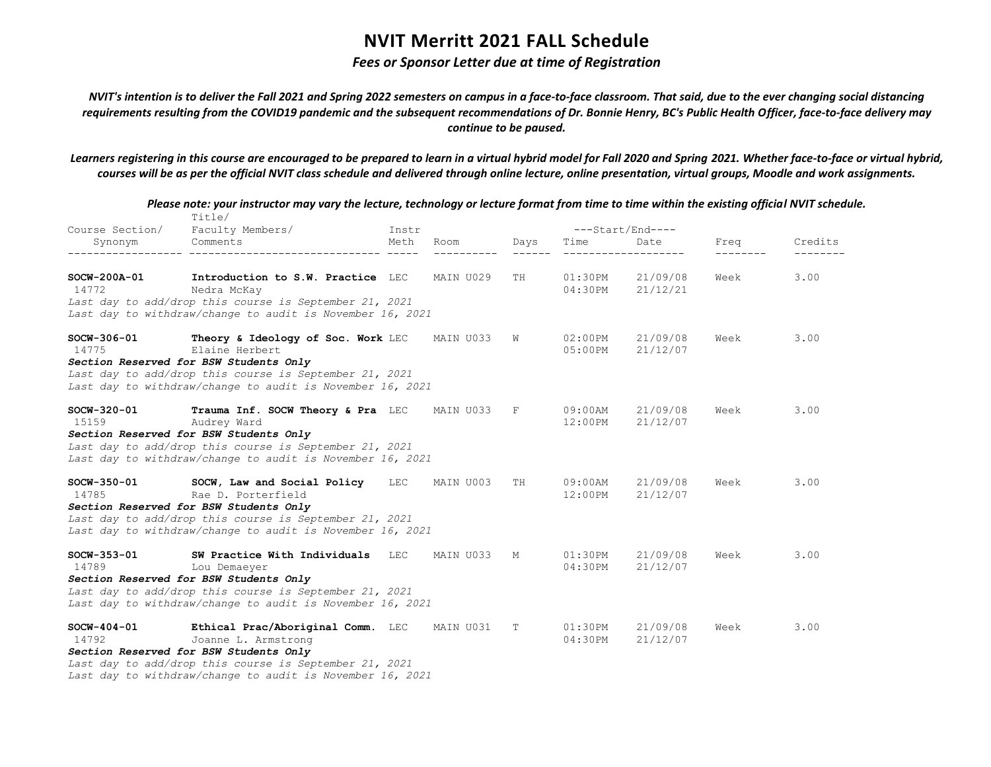## *Fees or Sponsor Letter due at time of Registration*

*NVIT's intention is to deliver the Fall 2021 and Spring 2022 semesters on campus in a face-to-face classroom. That said, due to the ever changing social distancing requirements resulting from the COVID19 pandemic and the subsequent recommendations of Dr. Bonnie Henry, BC's Public Health Officer, face-to-face delivery may continue to be paused.*

*Learners registering in this course are encouraged to be prepared to learn in a virtual hybrid model for Fall 2020 and Spring 2021. Whether face-to-face or virtual hybrid, courses will be as per the official NVIT class schedule and delivered through online lecture, online presentation, virtual groups, Moodle and work assignments.*

|                        | Title/                                                                                                                                                        |       |           |      |                          |                      |      |         |
|------------------------|---------------------------------------------------------------------------------------------------------------------------------------------------------------|-------|-----------|------|--------------------------|----------------------|------|---------|
| Course Section/        | Faculty Members/                                                                                                                                              | Instr |           |      | ---Start/End----         |                      |      |         |
| Synonym                | Comments                                                                                                                                                      | Meth  | Room      | Days | Time                     | Date                 | Freq | Credits |
| SOCW-200A-01<br>14772  | Introduction to S.W. Practice LEC<br>Nedra McKay<br>Last day to add/drop this course is September 21, 2021                                                    |       | MAIN U029 | TH   | $01:30$ PM<br>04:30PM    | 21/09/08<br>21/12/21 | Week | 3.00    |
|                        | Last day to withdraw/change to audit is November 16, 2021                                                                                                     |       |           |      |                          |                      |      |         |
| $SOCW-306-01$<br>14775 | Theory & Ideology of Soc. Work LEC<br>Elaine Herbert                                                                                                          |       | MAIN U033 | W    | $02:00$ PM<br>$05:00$ PM | 21/09/08<br>21/12/07 | Week | 3.00    |
|                        | Section Reserved for BSW Students Only<br>Last day to add/drop this course is September 21, 2021<br>Last day to withdraw/change to audit is November 16, 2021 |       |           |      |                          |                      |      |         |
| $SOCW-320-01$<br>15159 | Trauma Inf. SOCW Theory & Pra LEC<br>Audrey Ward<br>Section Reserved for BSW Students Only<br>Last day to add/drop this course is September 21, 2021          |       | MAIN U033 | F    | $09:00$ AM<br>$12:00$ PM | 21/09/08<br>21/12/07 | Week | 3.00    |
|                        | Last day to withdraw/change to audit is November 16, 2021                                                                                                     |       |           |      |                          |                      |      |         |
| SOCW-350-01<br>14785   | SOCW, Law and Social Policy LEC<br>Rae D. Porterfield<br>Section Reserved for BSW Students Only                                                               |       | MAIN U003 | TH   | $09:00$ AM<br>$12:00$ PM | 21/09/08<br>21/12/07 | Week | 3.00    |
|                        | Last day to add/drop this course is September 21, 2021<br>Last day to withdraw/change to audit is November 16, 2021                                           |       |           |      |                          |                      |      |         |
| $SOCW-353-01$<br>14789 | SW Practice With Individuals LEC<br>Lou Demaeyer                                                                                                              |       | MAIN U033 | M    | $01:30$ PM<br>04:30PM    | 21/09/08<br>21/12/07 | Week | 3.00    |
|                        | Section Reserved for BSW Students Only<br>Last day to add/drop this course is September 21, 2021<br>Last day to withdraw/change to audit is November 16, 2021 |       |           |      |                          |                      |      |         |
| $SOCW-404-01$<br>14792 | Ethical Prac/Aboriginal Comm. LEC<br>Joanne L. Armstrong                                                                                                      |       | MAIN U031 | Т    | 01:30PM<br>04:30PM       | 21/09/08<br>21/12/07 | Week | 3.00    |
|                        | Section Reserved for BSW Students Only<br>Last day to add/drop this course is September 21, 2021                                                              |       |           |      |                          |                      |      |         |
|                        | Last day to withdraw/change to audit is November 16, 2021                                                                                                     |       |           |      |                          |                      |      |         |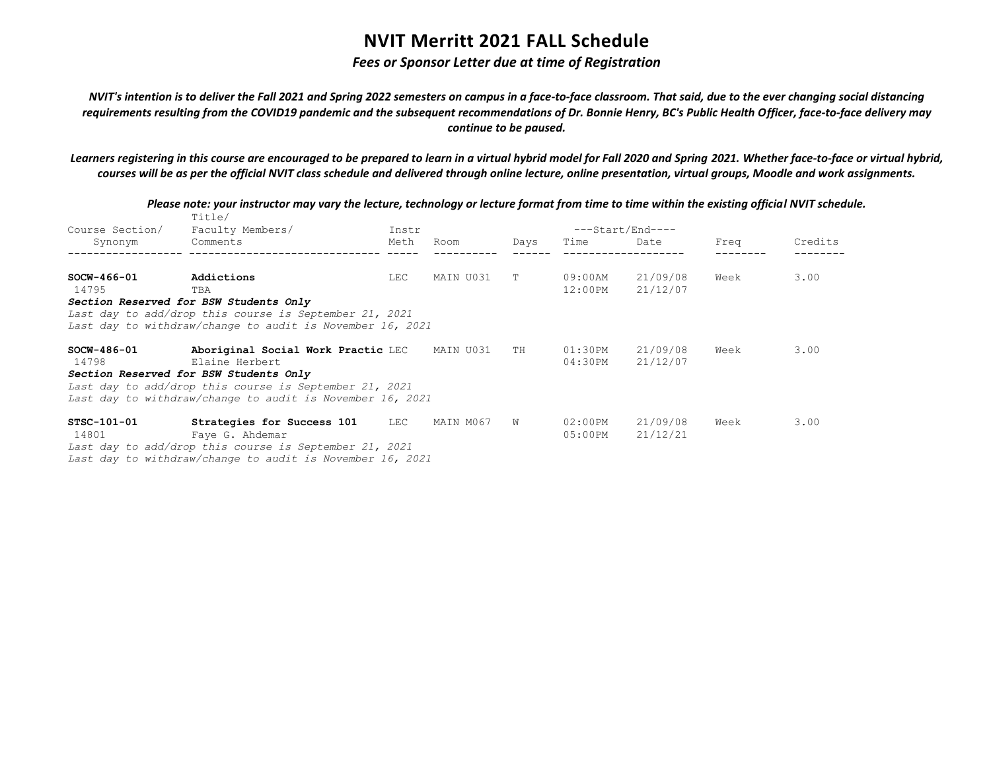## *Fees or Sponsor Letter due at time of Registration*

*NVIT's intention is to deliver the Fall 2021 and Spring 2022 semesters on campus in a face-to-face classroom. That said, due to the ever changing social distancing requirements resulting from the COVID19 pandemic and the subsequent recommendations of Dr. Bonnie Henry, BC's Public Health Officer, face-to-face delivery may continue to be paused.*

*Learners registering in this course are encouraged to be prepared to learn in a virtual hybrid model for Fall 2020 and Spring 2021. Whether face-to-face or virtual hybrid, courses will be as per the official NVIT class schedule and delivered through online lecture, online presentation, virtual groups, Moodle and work assignments.*

|                 | Title/                                                    |       |           |      |                  |          |      |         |
|-----------------|-----------------------------------------------------------|-------|-----------|------|------------------|----------|------|---------|
| Course Section/ | Faculty Members/                                          | Instr |           |      | ---Start/End---- |          |      |         |
| Synonym         | Comments                                                  | Meth  | Room      | Days | Time             | Date     | Freq | Credits |
|                 |                                                           |       |           |      |                  |          |      |         |
| $SOCW-466-01$   | Addictions                                                | LEC   | MAIN U031 | T.   | 09:00AM          | 21/09/08 | Week | 3.00    |
| 14795           | TBA                                                       |       |           |      | 12:00PM          | 21/12/07 |      |         |
|                 | Section Reserved for BSW Students Only                    |       |           |      |                  |          |      |         |
|                 | Last day to add/drop this course is September 21, 2021    |       |           |      |                  |          |      |         |
|                 | Last day to withdraw/change to audit is November 16, 2021 |       |           |      |                  |          |      |         |
| $SCW-486-01$    | Aboriginal Social Work Practic LEC MAIN U031              |       |           | TH   | 01:30PM          | 21/09/08 | Week | 3.00    |
| 14798           | Elaine Herbert                                            |       |           |      | 04:30PM          | 21/12/07 |      |         |
|                 | Section Reserved for BSW Students Only                    |       |           |      |                  |          |      |         |
|                 | Last day to add/drop this course is September 21, 2021    |       |           |      |                  |          |      |         |
|                 | Last day to withdraw/change to audit is November 16, 2021 |       |           |      |                  |          |      |         |
| STSC-101-01     | Strategies for Success 101 LEC                            |       | MAIN M067 | W    | 02:00PM          | 21/09/08 | Week | 3.00    |
| 14801           | Faye G. Ahdemar                                           |       |           |      | 05:00PM          | 21/12/21 |      |         |
|                 | Last day to add/drop this course is September 21, 2021    |       |           |      |                  |          |      |         |
|                 | Last day to withdraw/change to audit is November 16, 2021 |       |           |      |                  |          |      |         |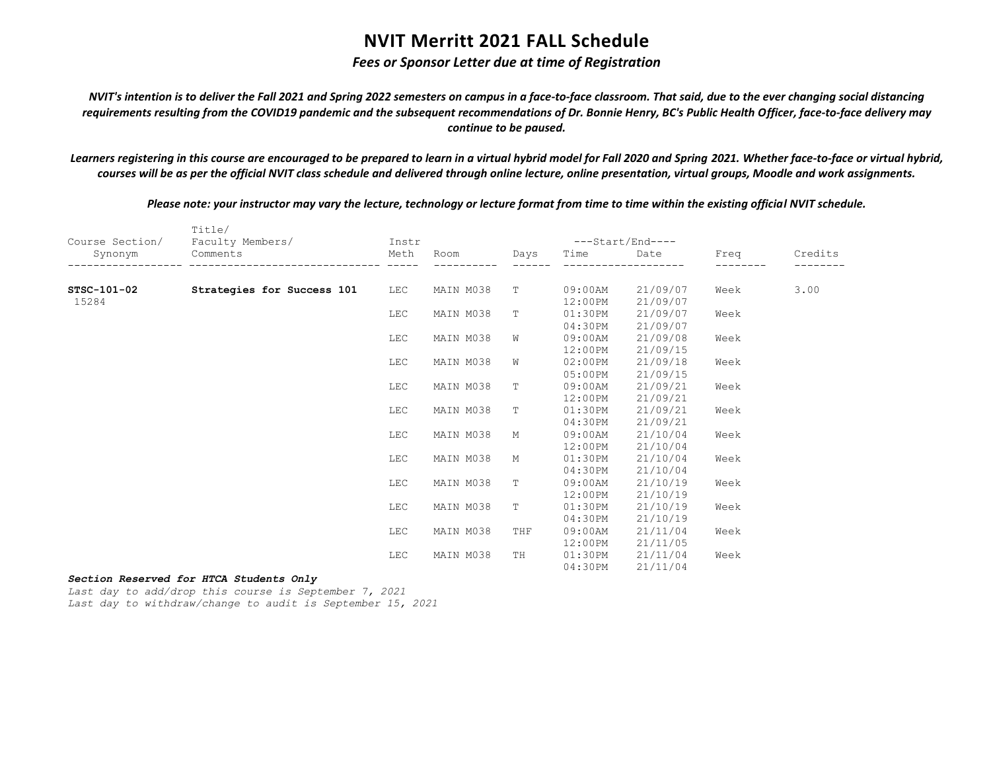## *Fees or Sponsor Letter due at time of Registration*

*NVIT's intention is to deliver the Fall 2021 and Spring 2022 semesters on campus in a face-to-face classroom. That said, due to the ever changing social distancing requirements resulting from the COVID19 pandemic and the subsequent recommendations of Dr. Bonnie Henry, BC's Public Health Officer, face-to-face delivery may continue to be paused.*

*Learners registering in this course are encouraged to be prepared to learn in a virtual hybrid model for Fall 2020 and Spring 2021. Whether face-to-face or virtual hybrid, courses will be as per the official NVIT class schedule and delivered through online lecture, online presentation, virtual groups, Moodle and work assignments.*

*Please note: your instructor may vary the lecture, technology or lecture format from time to time within the existing official NVIT schedule.*

|                 | Title/                     |            |           |             |            |                  |      |         |
|-----------------|----------------------------|------------|-----------|-------------|------------|------------------|------|---------|
| Course Section/ | Faculty Members/           | Instr      |           |             |            | ---Start/End---- |      |         |
| Synonym         | Comments                   | Meth       | Room      | Days        | Time       | Date             | Freq | Credits |
|                 |                            |            |           |             |            |                  |      |         |
| STSC-101-02     | Strategies for Success 101 | <b>LEC</b> | MAIN M038 | T           | 09:00AM    | 21/09/07         | Week | 3.00    |
| 15284           |                            |            |           |             | 12:00PM    | 21/09/07         |      |         |
|                 |                            | <b>LEC</b> | MAIN M038 | T           | 01:30PM    | 21/09/07         | Week |         |
|                 |                            |            |           |             | 04:30PM    | 21/09/07         |      |         |
|                 |                            | LEC        | MAIN M038 | W           | 09:00AM    | 21/09/08         | Week |         |
|                 |                            |            |           |             | 12:00PM    | 21/09/15         |      |         |
|                 |                            | LEC        | MAIN M038 | W           | 02:00PM    | 21/09/18         | Week |         |
|                 |                            |            |           |             | 05:00PM    | 21/09/15         |      |         |
|                 |                            | LEC        | MAIN M038 | $\mathbb T$ | 09:00AM    | 21/09/21         | Week |         |
|                 |                            |            |           |             | 12:00PM    | 21/09/21         |      |         |
|                 |                            | LEC        | MAIN M038 | T           | 01:30PM    | 21/09/21         | Week |         |
|                 |                            |            |           |             | 04:30PM    | 21/09/21         |      |         |
|                 |                            | LEC        | MAIN M038 | М           | 09:00AM    | 21/10/04         | Week |         |
|                 |                            |            |           |             | 12:00PM    | 21/10/04         |      |         |
|                 |                            | LEC        | MAIN M038 | М           | 01:30PM    | 21/10/04         | Week |         |
|                 |                            |            |           |             | 04:30PM    | 21/10/04         |      |         |
|                 |                            | LEC        | MAIN M038 | $\mathbb T$ | $09:00$ AM | 21/10/19         | Week |         |
|                 |                            |            |           |             | 12:00PM    | 21/10/19         |      |         |
|                 |                            | LEC        | MAIN M038 | $\mathbb T$ | 01:30PM    | 21/10/19         | Week |         |
|                 |                            |            |           |             | 04:30PM    | 21/10/19         |      |         |
|                 |                            | LEC        | MAIN M038 | THF         | 09:00AM    | 21/11/04         | Week |         |
|                 |                            |            |           |             | 12:00PM    | 21/11/05         |      |         |
|                 |                            | LEC        | MAIN M038 | TH          | 01:30PM    | 21/11/04         | Week |         |
|                 |                            |            |           |             | 04:30PM    | 21/11/04         |      |         |

### *Section Reserved for HTCA Students Only*

*Last day to add/drop this course is September 7, 2021 Last day to withdraw/change to audit is September 15, 2021*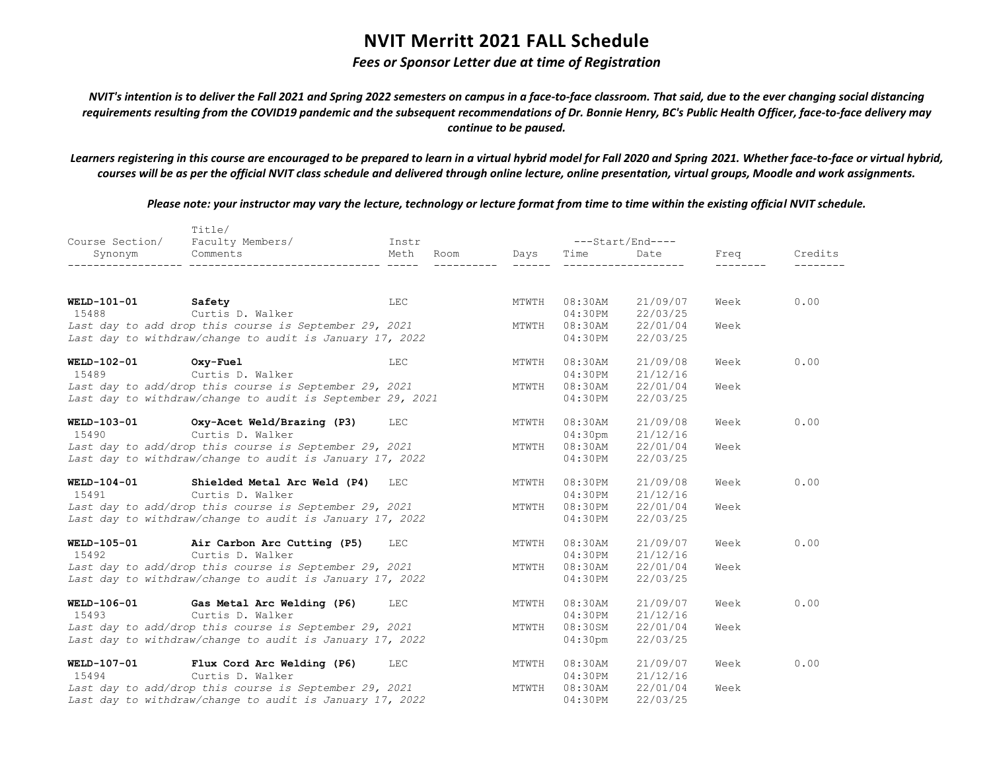## *Fees or Sponsor Letter due at time of Registration*

*NVIT's intention is to deliver the Fall 2021 and Spring 2022 semesters on campus in a face-to-face classroom. That said, due to the ever changing social distancing requirements resulting from the COVID19 pandemic and the subsequent recommendations of Dr. Bonnie Henry, BC's Public Health Officer, face-to-face delivery may continue to be paused.*

*Learners registering in this course are encouraged to be prepared to learn in a virtual hybrid model for Fall 2020 and Spring 2021. Whether face-to-face or virtual hybrid, courses will be as per the official NVIT class schedule and delivered through online lecture, online presentation, virtual groups, Moodle and work assignments.*

|                    | Title/                                                     |              |       |                  |                  |      |         |
|--------------------|------------------------------------------------------------|--------------|-------|------------------|------------------|------|---------|
| Course Section/    | Faculty Members/                                           | Instr        |       | ---Start/End---- |                  |      |         |
| Synonym            | Comments                                                   | Meth<br>Room | Days  | Time             | Date             | Freq | Credits |
|                    |                                                            |              |       |                  |                  |      |         |
| <b>WELD-101-01</b> | Safety                                                     | LEC          | MTWTH | $08:30$ AM       | 21/09/07         | Week | 0.00    |
| 15488              | Curtis D. Walker                                           |              |       | 04:30PM          | 22/03/25         |      |         |
|                    | Last day to add drop this course is September 29, 2021     |              | MTWTH | $08:30$ AM       | 22/01/04         | Week |         |
|                    | Last day to withdraw/change to audit is January 17, 2022   |              |       | 04:30PM          | 22/03/25         |      |         |
| WELD-102-01        | Oxy-Fuel                                                   | <b>LEC</b>   | MTWTH | $08:30$ AM       | 21/09/08         | Week | 0.00    |
| 15489              | Curtis D. Walker                                           |              |       | 04:30PM          | 21/12/16         |      |         |
|                    | Last day to add/drop this course is September 29, 2021     |              | MTWTH | $08:30$ AM       | 22/01/04         | Week |         |
|                    | Last day to withdraw/change to audit is September 29, 2021 |              |       | 04:30PM          | 22/03/25         |      |         |
| <b>WELD-103-01</b> | Oxy-Acet Weld/Brazing (P3)                                 | <b>LEC</b>   | MTWTH | $08:30$ AM       | 21/09/08         | Week | 0.00    |
| 15490              | Curtis D. Walker                                           |              |       | $04:30$ pm       | 21/12/16         |      |         |
|                    | Last day to add/drop this course is September 29, 2021     |              | MTWTH |                  | 08:30AM 22/01/04 | Week |         |
|                    | Last day to withdraw/change to audit is January 17, 2022   |              |       | 04:30PM          | 22/03/25         |      |         |
| <b>WELD-104-01</b> | Shielded Metal Arc Weld (P4)                               | LEC          | MTWTH | $08:30$ PM       | 21/09/08         | Week | 0.00    |
| 15491              | Curtis D. Walker                                           |              |       | 04:30PM          | 21/12/16         |      |         |
|                    | Last day to add/drop this course is September 29, 2021     |              | MTWTH |                  | 08:30PM 22/01/04 | Week |         |
|                    | Last day to withdraw/change to audit is January 17, 2022   |              |       | 04:30PM          | 22/03/25         |      |         |
| WELD-105-01        | Air Carbon Arc Cutting (P5)                                | <b>LEC</b>   | MTWTH | $08:30$ AM       | 21/09/07         | Week | 0.00    |
| 15492              | Curtis D. Walker                                           |              |       | 04:30PM          | 21/12/16         |      |         |
|                    | Last day to add/drop this course is September 29, 2021     |              | MTWTH | $08:30$ AM       | 22/01/04         | Week |         |
|                    | Last day to withdraw/change to audit is January 17, 2022   |              |       | $04:30$ PM       | 22/03/25         |      |         |
| WELD-106-01        | Gas Metal Arc Welding (P6)                                 | <b>LEC</b>   | MTWTH | $08:30$ AM       | 21/09/07         | Week | 0.00    |
| 15493              | Curtis D. Walker                                           |              |       | 04:30PM          | 21/12/16         |      |         |
|                    | Last day to add/drop this course is September 29, 2021     |              | MTWTH | 08:30SM          | 22/01/04         | Week |         |
|                    | Last day to withdraw/change to audit is January 17, 2022   |              |       | $04:30$ pm       | 22/03/25         |      |         |
| WELD-107-01        | Flux Cord Arc Welding (P6)                                 | LEC          | MTWTH | $08:30$ AM       | 21/09/07         | Week | 0.00    |
| 15494              | Curtis D. Walker                                           |              |       | 04:30PM          | 21/12/16         |      |         |
|                    | Last day to add/drop this course is September 29, 2021     |              | MTWTH | $08:30$ AM       | 22/01/04         | Week |         |
|                    | Last day to withdraw/change to audit is January 17, 2022   |              |       | 04:30PM          | 22/03/25         |      |         |